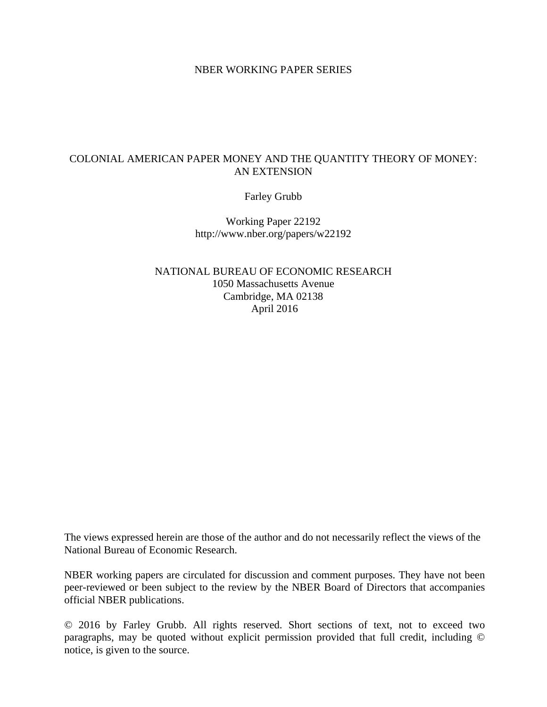#### NBER WORKING PAPER SERIES

# COLONIAL AMERICAN PAPER MONEY AND THE QUANTITY THEORY OF MONEY: AN EXTENSION

Farley Grubb

Working Paper 22192 http://www.nber.org/papers/w22192

NATIONAL BUREAU OF ECONOMIC RESEARCH 1050 Massachusetts Avenue Cambridge, MA 02138 April 2016

The views expressed herein are those of the author and do not necessarily reflect the views of the National Bureau of Economic Research.

NBER working papers are circulated for discussion and comment purposes. They have not been peer-reviewed or been subject to the review by the NBER Board of Directors that accompanies official NBER publications.

© 2016 by Farley Grubb. All rights reserved. Short sections of text, not to exceed two paragraphs, may be quoted without explicit permission provided that full credit, including © notice, is given to the source.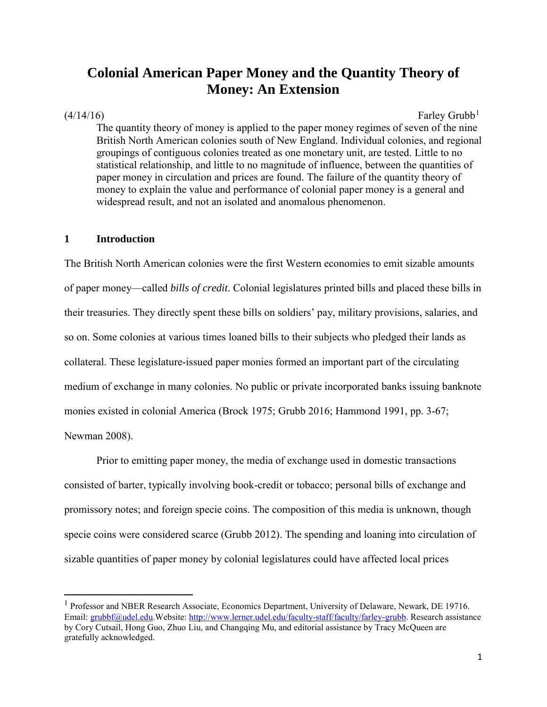# **Colonial American Paper Money and the Quantity Theory of Money: An Extension**

l

 $(4/14/16)$  $(4/14/16)$  $(4/14/16)$  Farley Grubb<sup>1</sup>

The quantity theory of money is applied to the paper money regimes of seven of the nine British North American colonies south of New England. Individual colonies, and regional groupings of contiguous colonies treated as one monetary unit, are tested. Little to no statistical relationship, and little to no magnitude of influence, between the quantities of paper money in circulation and prices are found. The failure of the quantity theory of money to explain the value and performance of colonial paper money is a general and widespread result, and not an isolated and anomalous phenomenon.

#### **1 Introduction**

The British North American colonies were the first Western economies to emit sizable amounts of paper money—called *bills of credit*. Colonial legislatures printed bills and placed these bills in their treasuries. They directly spent these bills on soldiers' pay, military provisions, salaries, and so on. Some colonies at various times loaned bills to their subjects who pledged their lands as collateral. These legislature-issued paper monies formed an important part of the circulating medium of exchange in many colonies. No public or private incorporated banks issuing banknote monies existed in colonial America (Brock 1975; Grubb 2016; Hammond 1991, pp. 3-67; Newman 2008).

Prior to emitting paper money, the media of exchange used in domestic transactions consisted of barter, typically involving book-credit or tobacco; personal bills of exchange and promissory notes; and foreign specie coins. The composition of this media is unknown, though specie coins were considered scarce (Grubb 2012). The spending and loaning into circulation of sizable quantities of paper money by colonial legislatures could have affected local prices

<span id="page-1-0"></span><sup>&</sup>lt;sup>1</sup> Professor and NBER Research Associate, Economics Department, University of Delaware, Newark, DE 19716. Email: [grubbf@udel.edu.](mailto:grubbf@udel.edu)Website[: http://www.lerner.udel.edu/faculty-staff/faculty/farley-grubb.](http://www.lerner.udel.edu/faculty-staff/faculty/farley-grubb) Research assistance by Cory Cutsail, Hong Guo, Zhuo Liu, and Changqing Mu, and editorial assistance by Tracy McQueen are gratefully acknowledged.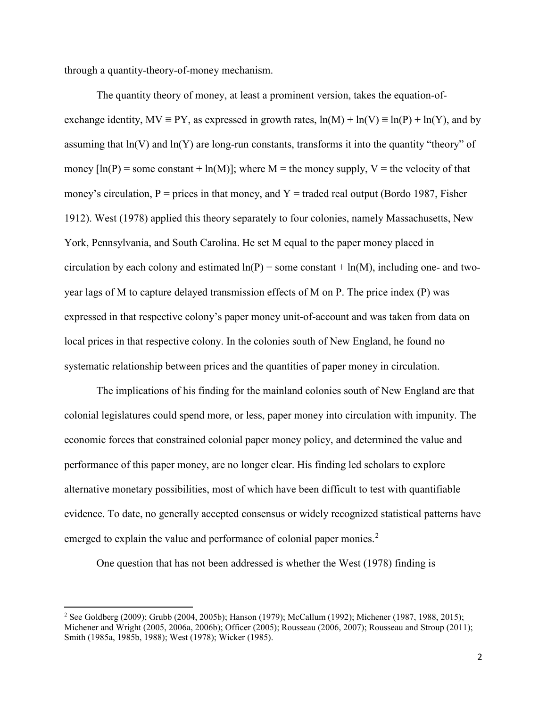through a quantity-theory-of-money mechanism.

The quantity theory of money, at least a prominent version, takes the equation-ofexchange identity,  $MV \equiv PY$ , as expressed in growth rates,  $ln(M) + ln(V) \equiv ln(P) + ln(Y)$ , and by assuming that ln(V) and ln(Y) are long-run constants, transforms it into the quantity "theory" of money  $[ln(P)]$  = some constant + ln(M)]; where M = the money supply, V = the velocity of that money's circulation,  $P =$  prices in that money, and  $Y =$  traded real output (Bordo 1987, Fisher 1912). West (1978) applied this theory separately to four colonies, namely Massachusetts, New York, Pennsylvania, and South Carolina. He set M equal to the paper money placed in circulation by each colony and estimated  $ln(P)$  = some constant +  $ln(M)$ , including one- and twoyear lags of M to capture delayed transmission effects of M on P. The price index (P) was expressed in that respective colony's paper money unit-of-account and was taken from data on local prices in that respective colony. In the colonies south of New England, he found no systematic relationship between prices and the quantities of paper money in circulation.

The implications of his finding for the mainland colonies south of New England are that colonial legislatures could spend more, or less, paper money into circulation with impunity. The economic forces that constrained colonial paper money policy, and determined the value and performance of this paper money, are no longer clear. His finding led scholars to explore alternative monetary possibilities, most of which have been difficult to test with quantifiable evidence. To date, no generally accepted consensus or widely recognized statistical patterns have emerged to explain the value and performance of colonial paper monies.<sup>[2](#page-2-0)</sup>

One question that has not been addressed is whether the West (1978) finding is

 $\overline{\phantom{a}}$ 

<span id="page-2-0"></span><sup>2</sup> See Goldberg (2009); Grubb (2004, 2005b); Hanson (1979); McCallum (1992); Michener (1987, 1988, 2015); Michener and Wright (2005, 2006a, 2006b); Officer (2005); Rousseau (2006, 2007); Rousseau and Stroup (2011); Smith (1985a, 1985b, 1988); West (1978); Wicker (1985).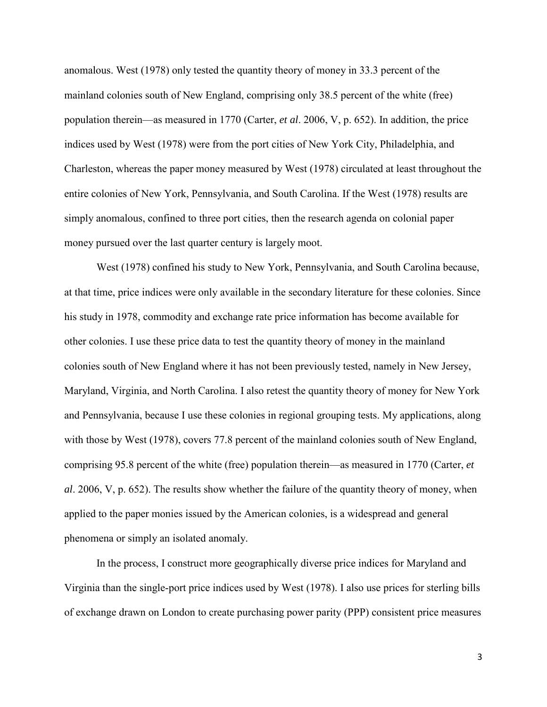anomalous. West (1978) only tested the quantity theory of money in 33.3 percent of the mainland colonies south of New England, comprising only 38.5 percent of the white (free) population therein—as measured in 1770 (Carter, *et al*. 2006, V, p. 652). In addition, the price indices used by West (1978) were from the port cities of New York City, Philadelphia, and Charleston, whereas the paper money measured by West (1978) circulated at least throughout the entire colonies of New York, Pennsylvania, and South Carolina. If the West (1978) results are simply anomalous, confined to three port cities, then the research agenda on colonial paper money pursued over the last quarter century is largely moot.

West (1978) confined his study to New York, Pennsylvania, and South Carolina because, at that time, price indices were only available in the secondary literature for these colonies. Since his study in 1978, commodity and exchange rate price information has become available for other colonies. I use these price data to test the quantity theory of money in the mainland colonies south of New England where it has not been previously tested, namely in New Jersey, Maryland, Virginia, and North Carolina. I also retest the quantity theory of money for New York and Pennsylvania, because I use these colonies in regional grouping tests. My applications, along with those by West (1978), covers 77.8 percent of the mainland colonies south of New England, comprising 95.8 percent of the white (free) population therein—as measured in 1770 (Carter, *et al*. 2006, V, p. 652). The results show whether the failure of the quantity theory of money, when applied to the paper monies issued by the American colonies, is a widespread and general phenomena or simply an isolated anomaly.

In the process, I construct more geographically diverse price indices for Maryland and Virginia than the single-port price indices used by West (1978). I also use prices for sterling bills of exchange drawn on London to create purchasing power parity (PPP) consistent price measures

3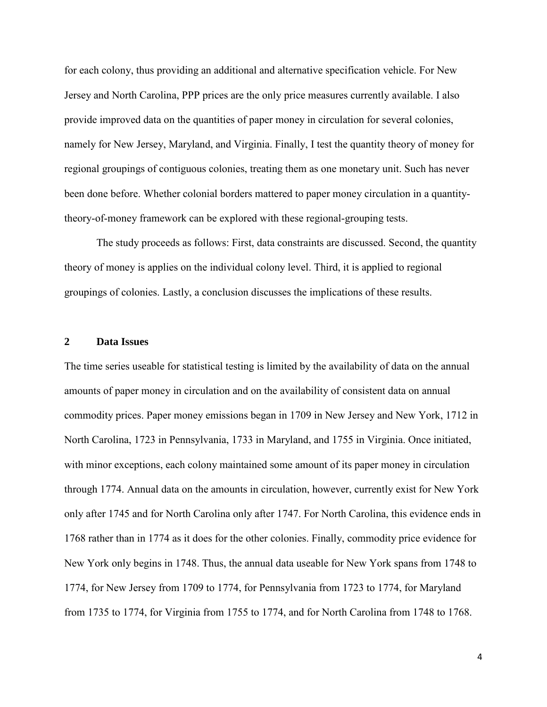for each colony, thus providing an additional and alternative specification vehicle. For New Jersey and North Carolina, PPP prices are the only price measures currently available. I also provide improved data on the quantities of paper money in circulation for several colonies, namely for New Jersey, Maryland, and Virginia. Finally, I test the quantity theory of money for regional groupings of contiguous colonies, treating them as one monetary unit. Such has never been done before. Whether colonial borders mattered to paper money circulation in a quantitytheory-of-money framework can be explored with these regional-grouping tests.

The study proceeds as follows: First, data constraints are discussed. Second, the quantity theory of money is applies on the individual colony level. Third, it is applied to regional groupings of colonies. Lastly, a conclusion discusses the implications of these results.

#### **2 Data Issues**

The time series useable for statistical testing is limited by the availability of data on the annual amounts of paper money in circulation and on the availability of consistent data on annual commodity prices. Paper money emissions began in 1709 in New Jersey and New York, 1712 in North Carolina, 1723 in Pennsylvania, 1733 in Maryland, and 1755 in Virginia. Once initiated, with minor exceptions, each colony maintained some amount of its paper money in circulation through 1774. Annual data on the amounts in circulation, however, currently exist for New York only after 1745 and for North Carolina only after 1747. For North Carolina, this evidence ends in 1768 rather than in 1774 as it does for the other colonies. Finally, commodity price evidence for New York only begins in 1748. Thus, the annual data useable for New York spans from 1748 to 1774, for New Jersey from 1709 to 1774, for Pennsylvania from 1723 to 1774, for Maryland from 1735 to 1774, for Virginia from 1755 to 1774, and for North Carolina from 1748 to 1768.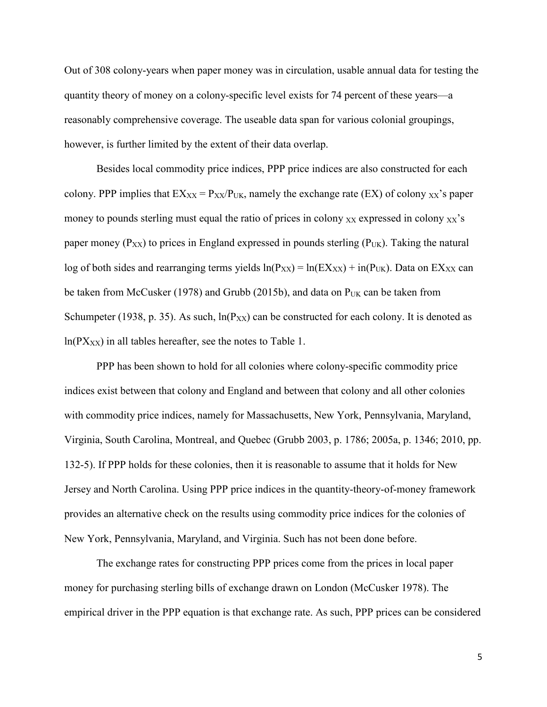Out of 308 colony-years when paper money was in circulation, usable annual data for testing the quantity theory of money on a colony-specific level exists for 74 percent of these years—a reasonably comprehensive coverage. The useable data span for various colonial groupings, however, is further limited by the extent of their data overlap.

Besides local commodity price indices, PPP price indices are also constructed for each colony. PPP implies that  $EX_{XX} = P_{XX}/P_{UK}$ , namely the exchange rate (EX) of colony  $XX$ 's paper money to pounds sterling must equal the ratio of prices in colony  $XX$  expressed in colony  $XX$ 's paper money ( $P_{XX}$ ) to prices in England expressed in pounds sterling ( $P_{UK}$ ). Taking the natural log of both sides and rearranging terms yields  $ln(P_{XX}) = ln(EX_{XX}) + in(P_{UK})$ . Data on EX<sub>XX</sub> can be taken from McCusker (1978) and Grubb (2015b), and data on  $P_{UK}$  can be taken from Schumpeter (1938, p. 35). As such,  $ln(P_{XX})$  can be constructed for each colony. It is denoted as  $ln(PX_{XX})$  in all tables hereafter, see the notes to Table 1.

PPP has been shown to hold for all colonies where colony-specific commodity price indices exist between that colony and England and between that colony and all other colonies with commodity price indices, namely for Massachusetts, New York, Pennsylvania, Maryland, Virginia, South Carolina, Montreal, and Quebec (Grubb 2003, p. 1786; 2005a, p. 1346; 2010, pp. 132-5). If PPP holds for these colonies, then it is reasonable to assume that it holds for New Jersey and North Carolina. Using PPP price indices in the quantity-theory-of-money framework provides an alternative check on the results using commodity price indices for the colonies of New York, Pennsylvania, Maryland, and Virginia. Such has not been done before.

The exchange rates for constructing PPP prices come from the prices in local paper money for purchasing sterling bills of exchange drawn on London (McCusker 1978). The empirical driver in the PPP equation is that exchange rate. As such, PPP prices can be considered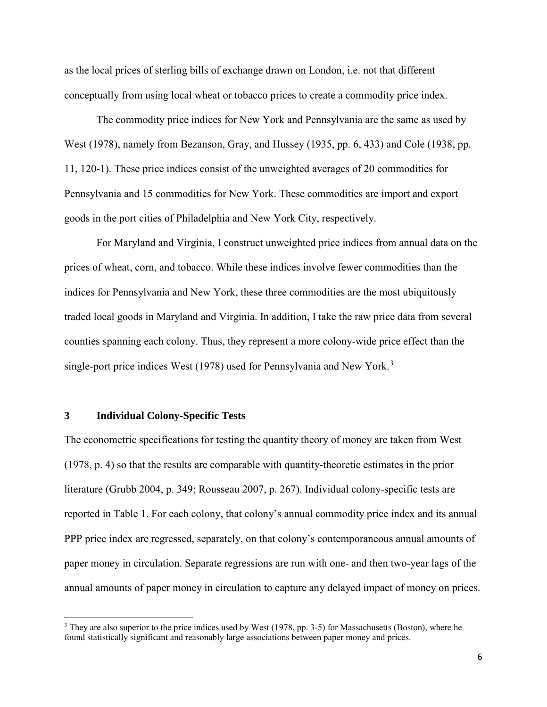as the local prices of sterling bills of exchange drawn on London, i.e. not that different conceptually from using local wheat or tobacco prices to create a commodity price index.

The commodity price indices for New York and Pennsylvania are the same as used by West (1978), namely from Bezanson, Gray, and Hussey (1935, pp. 6, 433) and Cole (1938, pp. 11, 120-1). These price indices consist of the unweighted averages of 20 commodities for Pennsylvania and 15 commodities for New York. These commodities are import and export goods in the port cities of Philadelphia and New York City, respectively.

For Maryland and Virginia, I construct unweighted price indices from annual data on the prices of wheat, corn, and tobacco. While these indices involve fewer commodities than the indices for Pennsylvania and New York, these three commodities are the most ubiquitously traded local goods in Maryland and Virginia. In addition, I take the raw price data from several counties spanning each colony. Thus, they represent a more colony-wide price effect than the single-port price indices West (1978) used for Pennsylvania and New York.<sup>[3](#page-6-0)</sup>

#### **3 Individual Colony-Specific Tests**

l

The econometric specifications for testing the quantity theory of money are taken from West (1978, p. 4) so that the results are comparable with quantity-theoretic estimates in the prior literature (Grubb 2004, p. 349; Rousseau 2007, p. 267). Individual colony-specific tests are reported in Table 1. For each colony, that colony's annual commodity price index and its annual PPP price index are regressed, separately, on that colony's contemporaneous annual amounts of paper money in circulation. Separate regressions are run with one- and then two-year lags of the annual amounts of paper money in circulation to capture any delayed impact of money on prices.

<span id="page-6-0"></span><sup>&</sup>lt;sup>3</sup> They are also superior to the price indices used by West (1978, pp. 3-5) for Massachusetts (Boston), where he found statistically significant and reasonably large associations between paper money and prices.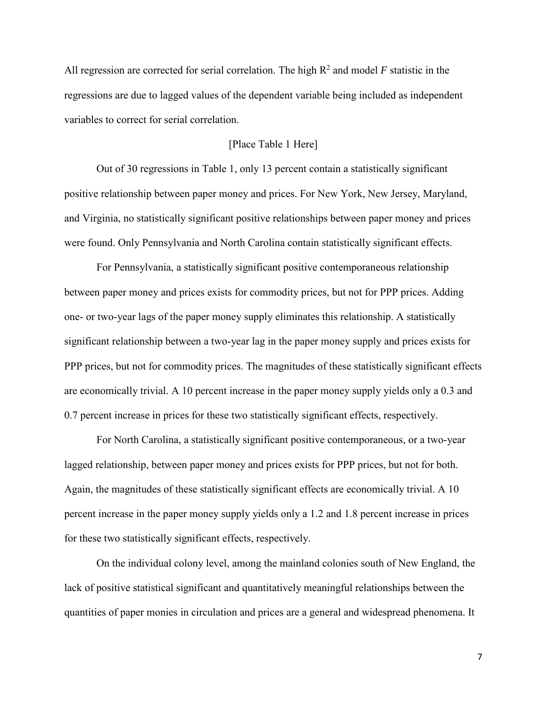All regression are corrected for serial correlation. The high  $R^2$  and model  $F$  statistic in the regressions are due to lagged values of the dependent variable being included as independent variables to correct for serial correlation.

# [Place Table 1 Here]

Out of 30 regressions in Table 1, only 13 percent contain a statistically significant positive relationship between paper money and prices. For New York, New Jersey, Maryland, and Virginia, no statistically significant positive relationships between paper money and prices were found. Only Pennsylvania and North Carolina contain statistically significant effects.

For Pennsylvania, a statistically significant positive contemporaneous relationship between paper money and prices exists for commodity prices, but not for PPP prices. Adding one- or two-year lags of the paper money supply eliminates this relationship. A statistically significant relationship between a two-year lag in the paper money supply and prices exists for PPP prices, but not for commodity prices. The magnitudes of these statistically significant effects are economically trivial. A 10 percent increase in the paper money supply yields only a 0.3 and 0.7 percent increase in prices for these two statistically significant effects, respectively.

For North Carolina, a statistically significant positive contemporaneous, or a two-year lagged relationship, between paper money and prices exists for PPP prices, but not for both. Again, the magnitudes of these statistically significant effects are economically trivial. A 10 percent increase in the paper money supply yields only a 1.2 and 1.8 percent increase in prices for these two statistically significant effects, respectively.

 On the individual colony level, among the mainland colonies south of New England, the lack of positive statistical significant and quantitatively meaningful relationships between the quantities of paper monies in circulation and prices are a general and widespread phenomena. It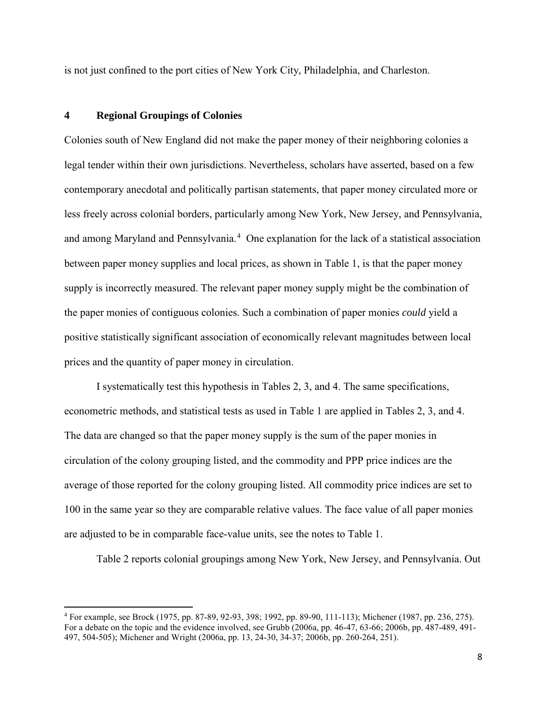is not just confined to the port cities of New York City, Philadelphia, and Charleston.

#### **4 Regional Groupings of Colonies**

 $\overline{\phantom{a}}$ 

Colonies south of New England did not make the paper money of their neighboring colonies a legal tender within their own jurisdictions. Nevertheless, scholars have asserted, based on a few contemporary anecdotal and politically partisan statements, that paper money circulated more or less freely across colonial borders, particularly among New York, New Jersey, and Pennsylvania, and among Maryland and Pennsylvania.<sup>[4](#page-8-0)</sup> One explanation for the lack of a statistical association between paper money supplies and local prices, as shown in Table 1, is that the paper money supply is incorrectly measured. The relevant paper money supply might be the combination of the paper monies of contiguous colonies. Such a combination of paper monies *could* yield a positive statistically significant association of economically relevant magnitudes between local prices and the quantity of paper money in circulation.

I systematically test this hypothesis in Tables 2, 3, and 4. The same specifications, econometric methods, and statistical tests as used in Table 1 are applied in Tables 2, 3, and 4. The data are changed so that the paper money supply is the sum of the paper monies in circulation of the colony grouping listed, and the commodity and PPP price indices are the average of those reported for the colony grouping listed. All commodity price indices are set to 100 in the same year so they are comparable relative values. The face value of all paper monies are adjusted to be in comparable face-value units, see the notes to Table 1.

Table 2 reports colonial groupings among New York, New Jersey, and Pennsylvania. Out

<span id="page-8-0"></span><sup>4</sup> For example, see Brock (1975, pp. 87-89, 92-93, 398; 1992, pp. 89-90, 111-113); Michener (1987, pp. 236, 275). For a debate on the topic and the evidence involved, see Grubb (2006a, pp. 46-47, 63-66; 2006b, pp. 487-489, 491- 497, 504-505); Michener and Wright (2006a, pp. 13, 24-30, 34-37; 2006b, pp. 260-264, 251).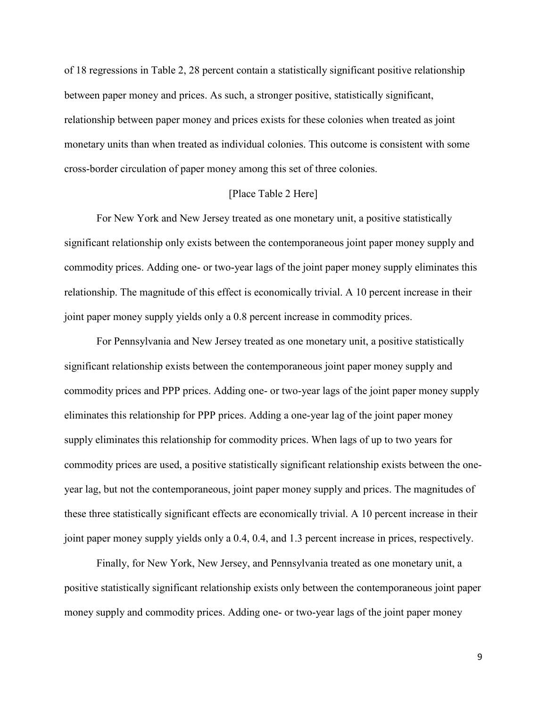of 18 regressions in Table 2, 28 percent contain a statistically significant positive relationship between paper money and prices. As such, a stronger positive, statistically significant, relationship between paper money and prices exists for these colonies when treated as joint monetary units than when treated as individual colonies. This outcome is consistent with some cross-border circulation of paper money among this set of three colonies.

### [Place Table 2 Here]

 For New York and New Jersey treated as one monetary unit, a positive statistically significant relationship only exists between the contemporaneous joint paper money supply and commodity prices. Adding one- or two-year lags of the joint paper money supply eliminates this relationship. The magnitude of this effect is economically trivial. A 10 percent increase in their joint paper money supply yields only a 0.8 percent increase in commodity prices.

 For Pennsylvania and New Jersey treated as one monetary unit, a positive statistically significant relationship exists between the contemporaneous joint paper money supply and commodity prices and PPP prices. Adding one- or two-year lags of the joint paper money supply eliminates this relationship for PPP prices. Adding a one-year lag of the joint paper money supply eliminates this relationship for commodity prices. When lags of up to two years for commodity prices are used, a positive statistically significant relationship exists between the oneyear lag, but not the contemporaneous, joint paper money supply and prices. The magnitudes of these three statistically significant effects are economically trivial. A 10 percent increase in their joint paper money supply yields only a 0.4, 0.4, and 1.3 percent increase in prices, respectively.

 Finally, for New York, New Jersey, and Pennsylvania treated as one monetary unit, a positive statistically significant relationship exists only between the contemporaneous joint paper money supply and commodity prices. Adding one- or two-year lags of the joint paper money

9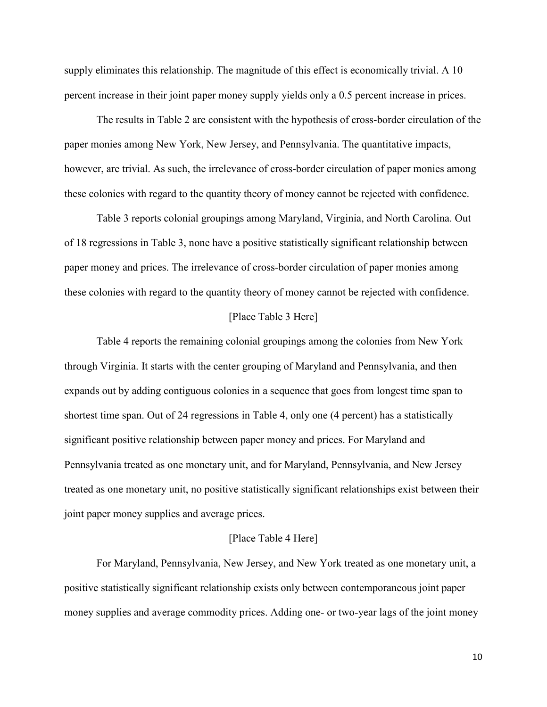supply eliminates this relationship. The magnitude of this effect is economically trivial. A 10 percent increase in their joint paper money supply yields only a 0.5 percent increase in prices.

 The results in Table 2 are consistent with the hypothesis of cross-border circulation of the paper monies among New York, New Jersey, and Pennsylvania. The quantitative impacts, however, are trivial. As such, the irrelevance of cross-border circulation of paper monies among these colonies with regard to the quantity theory of money cannot be rejected with confidence.

Table 3 reports colonial groupings among Maryland, Virginia, and North Carolina. Out of 18 regressions in Table 3, none have a positive statistically significant relationship between paper money and prices. The irrelevance of cross-border circulation of paper monies among these colonies with regard to the quantity theory of money cannot be rejected with confidence.

#### [Place Table 3 Here]

Table 4 reports the remaining colonial groupings among the colonies from New York through Virginia. It starts with the center grouping of Maryland and Pennsylvania, and then expands out by adding contiguous colonies in a sequence that goes from longest time span to shortest time span. Out of 24 regressions in Table 4, only one (4 percent) has a statistically significant positive relationship between paper money and prices. For Maryland and Pennsylvania treated as one monetary unit, and for Maryland, Pennsylvania, and New Jersey treated as one monetary unit, no positive statistically significant relationships exist between their joint paper money supplies and average prices.

#### [Place Table 4 Here]

 For Maryland, Pennsylvania, New Jersey, and New York treated as one monetary unit, a positive statistically significant relationship exists only between contemporaneous joint paper money supplies and average commodity prices. Adding one- or two-year lags of the joint money

10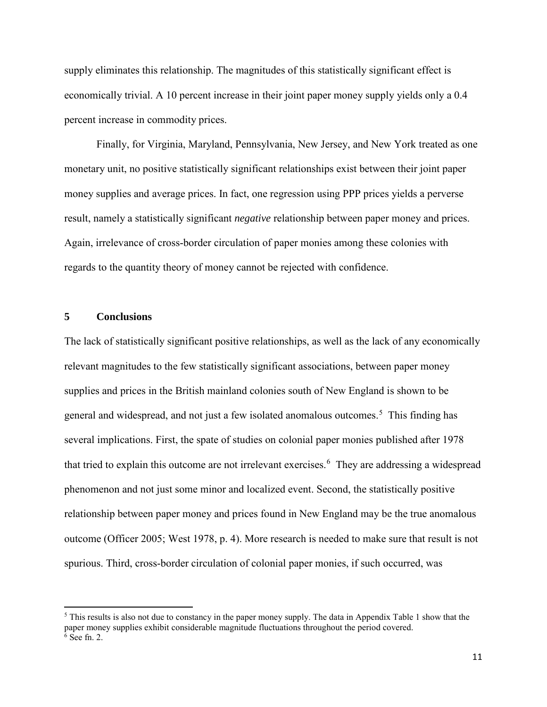supply eliminates this relationship. The magnitudes of this statistically significant effect is economically trivial. A 10 percent increase in their joint paper money supply yields only a 0.4 percent increase in commodity prices.

Finally, for Virginia, Maryland, Pennsylvania, New Jersey, and New York treated as one monetary unit, no positive statistically significant relationships exist between their joint paper money supplies and average prices. In fact, one regression using PPP prices yields a perverse result, namely a statistically significant *negative* relationship between paper money and prices. Again, irrelevance of cross-border circulation of paper monies among these colonies with regards to the quantity theory of money cannot be rejected with confidence.

#### **5 Conclusions**

 $\overline{\phantom{a}}$ 

The lack of statistically significant positive relationships, as well as the lack of any economically relevant magnitudes to the few statistically significant associations, between paper money supplies and prices in the British mainland colonies south of New England is shown to be general and widespread, and not just a few isolated anomalous outcomes.<sup>[5](#page-11-0)</sup> This finding has several implications. First, the spate of studies on colonial paper monies published after 1978 that tried to explain this outcome are not irrelevant exercises.<sup>[6](#page-11-1)</sup> They are addressing a widespread phenomenon and not just some minor and localized event. Second, the statistically positive relationship between paper money and prices found in New England may be the true anomalous outcome (Officer 2005; West 1978, p. 4). More research is needed to make sure that result is not spurious. Third, cross-border circulation of colonial paper monies, if such occurred, was

<span id="page-11-1"></span><span id="page-11-0"></span><sup>5</sup> This results is also not due to constancy in the paper money supply. The data in Appendix Table 1 show that the paper money supplies exhibit considerable magnitude fluctuations throughout the period covered. <sup>6</sup> See fn. 2.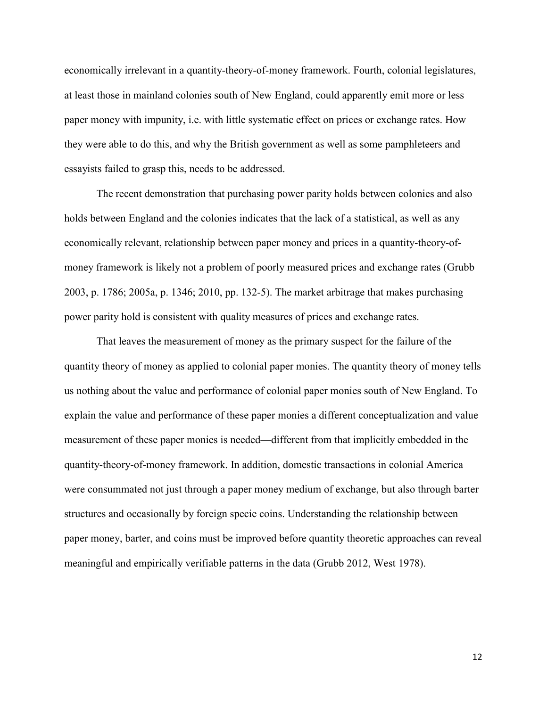economically irrelevant in a quantity-theory-of-money framework. Fourth, colonial legislatures, at least those in mainland colonies south of New England, could apparently emit more or less paper money with impunity, i.e. with little systematic effect on prices or exchange rates. How they were able to do this, and why the British government as well as some pamphleteers and essayists failed to grasp this, needs to be addressed.

 The recent demonstration that purchasing power parity holds between colonies and also holds between England and the colonies indicates that the lack of a statistical, as well as any economically relevant, relationship between paper money and prices in a quantity-theory-ofmoney framework is likely not a problem of poorly measured prices and exchange rates (Grubb 2003, p. 1786; 2005a, p. 1346; 2010, pp. 132-5). The market arbitrage that makes purchasing power parity hold is consistent with quality measures of prices and exchange rates.

That leaves the measurement of money as the primary suspect for the failure of the quantity theory of money as applied to colonial paper monies. The quantity theory of money tells us nothing about the value and performance of colonial paper monies south of New England. To explain the value and performance of these paper monies a different conceptualization and value measurement of these paper monies is needed—different from that implicitly embedded in the quantity-theory-of-money framework. In addition, domestic transactions in colonial America were consummated not just through a paper money medium of exchange, but also through barter structures and occasionally by foreign specie coins. Understanding the relationship between paper money, barter, and coins must be improved before quantity theoretic approaches can reveal meaningful and empirically verifiable patterns in the data (Grubb 2012, West 1978).

12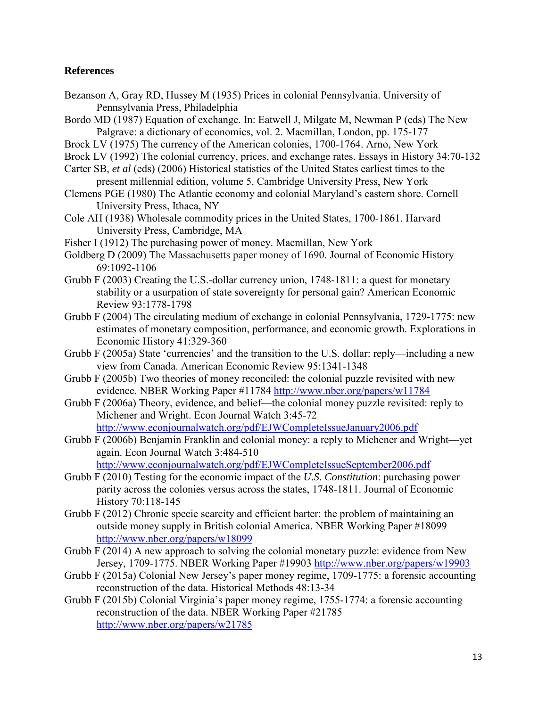# **References**

- Bezanson A, Gray RD, Hussey M (1935) Prices in colonial Pennsylvania. University of Pennsylvania Press, Philadelphia
- Bordo MD (1987) Equation of exchange. In: Eatwell J, Milgate M, Newman P (eds) The New Palgrave: a dictionary of economics, vol. 2. Macmillan, London, pp. 175-177
- Brock LV (1975) The currency of the American colonies, 1700-1764. Arno, New York
- Brock LV (1992) The colonial currency, prices, and exchange rates. Essays in History 34:70-132
- Carter SB, *et al* (eds) (2006) Historical statistics of the United States earliest times to the present millennial edition, volume 5. Cambridge University Press, New York
- Clemens PGE (1980) The Atlantic economy and colonial Maryland's eastern shore. Cornell University Press, Ithaca, NY
- Cole AH (1938) Wholesale commodity prices in the United States, 1700-1861. Harvard University Press, Cambridge, MA
- Fisher I (1912) The purchasing power of money. Macmillan, New York
- Goldberg D (2009) The Massachusetts paper money of 1690. Journal of Economic History 69:1092-1106
- Grubb F (2003) Creating the U.S.-dollar currency union, 1748-1811: a quest for monetary stability or a usurpation of state sovereignty for personal gain? American Economic Review 93:1778-1798
- Grubb F (2004) The circulating medium of exchange in colonial Pennsylvania, 1729-1775: new estimates of monetary composition, performance, and economic growth. Explorations in Economic History 41:329-360
- Grubb F (2005a) State 'currencies' and the transition to the U.S. dollar: reply—including a new view from Canada. American Economic Review 95:1341-1348
- Grubb F (2005b) Two theories of money reconciled: the colonial puzzle revisited with new evidence. NBER Working Paper #11784<http://www.nber.org/papers/w11784>
- Grubb F (2006a) Theory, evidence, and belief—the colonial money puzzle revisited: reply to Michener and Wright. Econ Journal Watch 3:45-72 <http://www.econjournalwatch.org/pdf/EJWCompleteIssueJanuary2006.pdf>
- Grubb F (2006b) Benjamin Franklin and colonial money: a reply to Michener and Wright—yet again. Econ Journal Watch 3:484-510 <http://www.econjournalwatch.org/pdf/EJWCompleteIssueSeptember2006.pdf>
- Grubb F (2010) Testing for the economic impact of the *U.S. Constitution*: purchasing power parity across the colonies versus across the states, 1748-1811. Journal of Economic History 70:118-145
- Grubb F (2012) Chronic specie scarcity and efficient barter: the problem of maintaining an outside money supply in British colonial America. NBER Working Paper #18099 <http://www.nber.org/papers/w18099>
- Grubb F (2014) A new approach to solving the colonial monetary puzzle: evidence from New Jersey, 1709-1775. NBER Working Paper #19903<http://www.nber.org/papers/w19903>
- Grubb F (2015a) Colonial New Jersey's paper money regime, 1709-1775: a forensic accounting reconstruction of the data. Historical Methods 48:13-34
- Grubb F (2015b) Colonial Virginia's paper money regime, 1755-1774: a forensic accounting reconstruction of the data. NBER Working Paper #21785 [http://www.nber.org/papers/w2](http://www.nber.org/papers/w)1785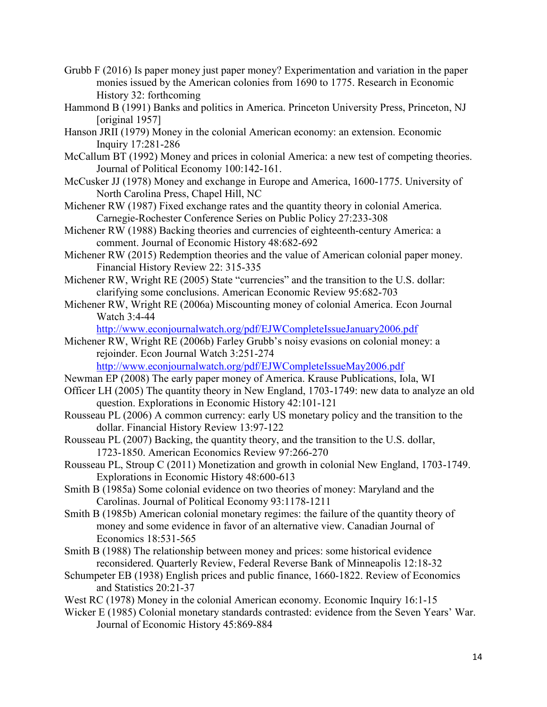- Grubb F (2016) Is paper money just paper money? Experimentation and variation in the paper monies issued by the American colonies from 1690 to 1775. Research in Economic History 32: forthcoming
- Hammond B (1991) Banks and politics in America. Princeton University Press, Princeton, NJ [original 1957]
- Hanson JRII (1979) Money in the colonial American economy: an extension. Economic Inquiry 17:281-286
- McCallum BT (1992) Money and prices in colonial America: a new test of competing theories. Journal of Political Economy 100:142-161.
- McCusker JJ (1978) Money and exchange in Europe and America, 1600-1775. University of North Carolina Press, Chapel Hill, NC
- Michener RW (1987) Fixed exchange rates and the quantity theory in colonial America. Carnegie-Rochester Conference Series on Public Policy 27:233-308
- Michener RW (1988) Backing theories and currencies of eighteenth-century America: a comment. Journal of Economic History 48:682-692
- Michener RW (2015) Redemption theories and the value of American colonial paper money. Financial History Review 22: 315-335
- Michener RW, Wright RE (2005) State "currencies" and the transition to the U.S. dollar: clarifying some conclusions. American Economic Review 95:682-703
- Michener RW, Wright RE (2006a) Miscounting money of colonial America. Econ Journal Watch 3:4-44

<http://www.econjournalwatch.org/pdf/EJWCompleteIssueJanuary2006.pdf>

Michener RW, Wright RE (2006b) Farley Grubb's noisy evasions on colonial money: a rejoinder. Econ Journal Watch 3:251-274

<http://www.econjournalwatch.org/pdf/EJWCompleteIssueMay2006.pdf>

- Newman EP (2008) The early paper money of America. Krause Publications, Iola, WI
- Officer LH (2005) The quantity theory in New England, 1703-1749: new data to analyze an old question. Explorations in Economic History 42:101-121
- Rousseau PL (2006) A common currency: early US monetary policy and the transition to the dollar. Financial History Review 13:97-122
- Rousseau PL (2007) Backing, the quantity theory, and the transition to the U.S. dollar, 1723-1850. American Economics Review 97:266-270
- Rousseau PL, Stroup C (2011) Monetization and growth in colonial New England, 1703-1749. Explorations in Economic History 48:600-613
- Smith B (1985a) Some colonial evidence on two theories of money: Maryland and the Carolinas. Journal of Political Economy 93:1178-1211
- Smith B (1985b) American colonial monetary regimes: the failure of the quantity theory of money and some evidence in favor of an alternative view. Canadian Journal of Economics 18:531-565
- Smith B (1988) The relationship between money and prices: some historical evidence reconsidered. Quarterly Review, Federal Reverse Bank of Minneapolis 12:18-32
- Schumpeter EB (1938) English prices and public finance, 1660-1822. Review of Economics and Statistics 20:21-37
- West RC (1978) Money in the colonial American economy. Economic Inquiry 16:1-15
- Wicker E (1985) Colonial monetary standards contrasted: evidence from the Seven Years' War. Journal of Economic History 45:869-884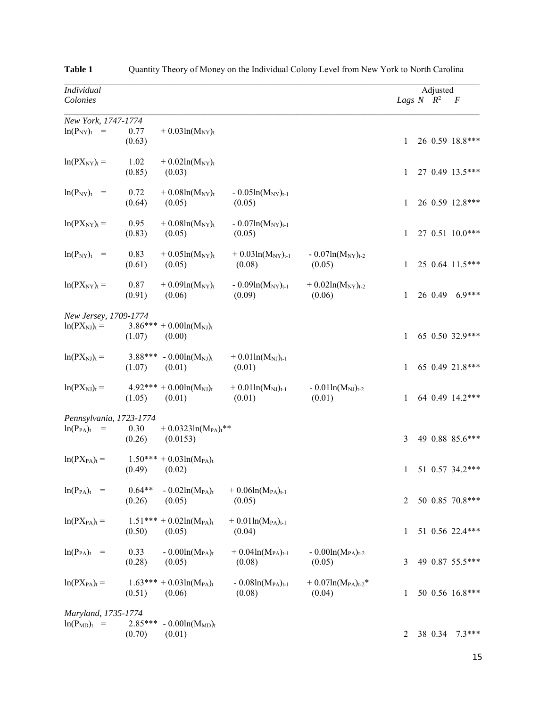| Individual<br>Colonies                                                         |                     |                                                     |                                          |                                          | Lags $N$ $R^2$ | Adjusted | $\boldsymbol{F}$ |
|--------------------------------------------------------------------------------|---------------------|-----------------------------------------------------|------------------------------------------|------------------------------------------|----------------|----------|------------------|
|                                                                                |                     |                                                     |                                          |                                          |                |          |                  |
| New York, 1747-1774<br>$ln(P_{NY})_t$<br>$=$                                   | 0.77<br>(0.63)      | $+ 0.03ln(M_{NY})_t$                                |                                          |                                          | 1              |          | 26 0.59 18.8***  |
| $ln(PX_{NY})_t =$                                                              | 1.02<br>(0.85)      | $+ 0.02ln(M_{NY})_t$<br>(0.03)                      |                                          |                                          | 1              |          | 27 0.49 13.5***  |
| $ln(P_{NY})_t$<br>$=$                                                          | 0.72<br>(0.64)      | $+ 0.08 \ln(M_{\rm NY})_t$<br>(0.05)                | $-0.05\ln(M_{\rm NY})_{t-1}$<br>(0.05)   |                                          | 1              |          | 26 0.59 12.8***  |
| $ln(PX_{NY})_t =$                                                              | 0.95<br>(0.83)      | $+$ 0.08ln(M <sub>NY</sub> ) <sub>t</sub><br>(0.05) | $-0.07ln(M_{\rm NY})_{t-1}$<br>(0.05)    |                                          | 1              |          | 27 0.51 10.0***  |
| $ln(P_{NY})_t$<br>$\hspace*{0.4em} = \hspace*{0.4em}$                          | 0.83<br>(0.61)      | $+ 0.05 \ln(M_{\rm NY})_t$<br>(0.05)                | $+ 0.03ln(M_{NY})_{t-1}$<br>(0.08)       | $-0.07ln(M_{\rm NY})_{t-2}$<br>(0.05)    | 1              |          | 25 0.64 11.5***  |
| $ln(PX_{NY})_t =$                                                              | 0.87<br>(0.91)      | $+ 0.09ln(M_{NY})_t$<br>(0.06)                      | $-0.09\ln(M_{\rm NY})_{t-1}$<br>(0.09)   | $+ 0.02 \ln(M_{\rm NY})_{t-2}$<br>(0.06) | 1              |          | 26 0.49 6.9***   |
| New Jersey, 1709-1774<br>$ln(PX_N)_{t}$ =                                      | (1.07)              | $3.86*** + 0.00 \ln(M_{\rm NJ})_t$<br>(0.00)        |                                          |                                          | 1              |          | 65 0.50 32.9***  |
| $ln(PX_N)_{t}$ =                                                               | 3.88***<br>(1.07)   | $-0.00\ln(M_{\rm NJ})_t$<br>(0.01)                  | $+ 0.01 \ln(M_{\rm NJ})_{t-1}$<br>(0.01) |                                          | 1              |          | 65 0.49 21.8***  |
| $ln(PX_N)_{t}$ =                                                               | (1.05)              | $4.92*** + 0.00ln(M_{\rm NJ})_t$<br>(0.01)          | $+ 0.01 \ln(M_{\rm NJ})_{t-1}$<br>(0.01) | $-0.01\ln(M_{\rm NJ})_{t-2}$<br>(0.01)   | 1              |          | 64 0.49 14.2***  |
| Pennsylvania, 1723-1774<br>$ln(P_{PA})_t$<br>$\hspace{0.1cm} = \hspace{0.1cm}$ | 0.30<br>(0.26)      | + $0.0323\ln(M_{PA})$ <sup>**</sup><br>(0.0153)     |                                          |                                          | 3              |          | 49 0.88 85.6***  |
| $ln(PX_{PA})_t =$                                                              | $1.50***$<br>(0.49) | $+ 0.03ln(MPA)t$<br>(0.02)                          |                                          |                                          | 1              |          | 51 0.57 34.2***  |
| $ln(P_{PA})_t$ =                                                               | $0.64**$<br>(0.26)  | $-0.02\ln(M_{PA})_t$<br>(0.05)                      | $+ 0.06ln(M_{PA})_{t-1}$<br>(0.05)       |                                          | 2              |          | 50 0.85 70.8***  |
| $ln(PX_{PA})_t =$                                                              | (0.50)              | $1.51*** + 0.02\ln(M_{PA})$<br>(0.05)               | $+ 0.01 \ln(M_{PA})_{t-1}$<br>(0.04)     |                                          | 1              |          | 51 0.56 22.4***  |
| $ln(P_{PA})_t$ =                                                               | 0.33<br>(0.28)      | $-0.00\ln(M_{PA})_t$<br>(0.05)                      | $+ 0.04ln(M_{PA})_{t-1}$<br>(0.08)       | $-0.00ln(M_{PA})_{t-2}$<br>(0.05)        | 3              |          | 49 0.87 55.5***  |
| $ln(PX_{PA})_t =$                                                              | (0.51)              | $1.63*** + 0.03 \ln(M_{PA})_t$<br>(0.06)            | $-0.08\ln(M_{PA})_{t-1}$<br>(0.08)       | $+ 0.07 \ln(M_{PA})_{t-2}$ *<br>(0.04)   | 1              |          | 50 0.56 16.8***  |
| Maryland, 1735-1774<br>$ln(P_{MD})_t$<br>$=$                                   | $2.85***$<br>(0.70) | $-0.00ln(MMD)t$<br>(0.01)                           |                                          |                                          | 2              |          | 38 0.34 7.3***   |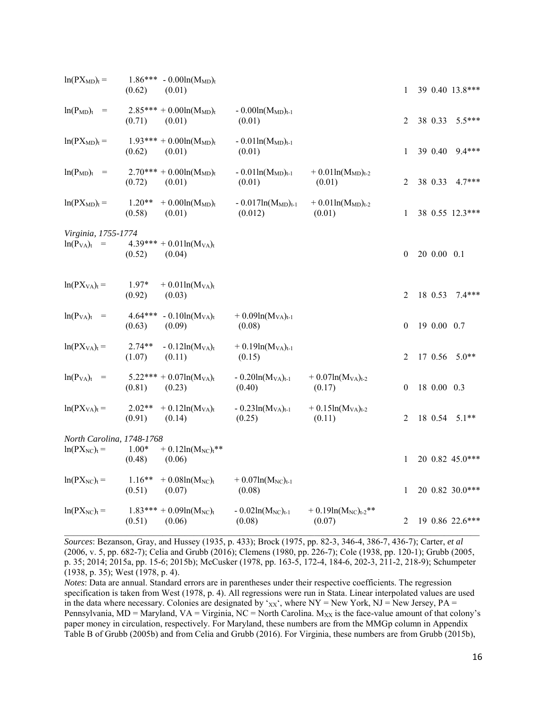| $ln(PX_{MD})_t =$                       | $1.86***$<br>(0.62) | $-0.00\ln(M_{MD})$ t<br>(0.01)                          |                                      |                                         | 1            |             | 39 0.40 13.8*** |
|-----------------------------------------|---------------------|---------------------------------------------------------|--------------------------------------|-----------------------------------------|--------------|-------------|-----------------|
| $ln(P_{MD})_t$ =                        | (0.71)              | $2.85*** + 0.00ln(M_{MD})$ t<br>(0.01)                  | $-0.00ln(M_{MD})_{t-1}$<br>(0.01)    |                                         | 2            | 38 0.33     | $5.5***$        |
| $ln(PX_{MD})_t =$                       | (0.62)              | $1.93*** + 0.00ln(M_{MD})$ t<br>(0.01)                  | $-0.01\ln(M_{MD})_{t-1}$<br>(0.01)   |                                         | 1            | 39 0.40     | $9.4***$        |
| $ln(P_{MD})_t$ =                        | (0.72)              | $2.70*** + 0.00ln(M_{MD})$ t<br>(0.01)                  | $-0.01\ln(M_{MD})_{t-1}$<br>(0.01)   | $+ 0.01 \ln(M_{MD})_{t-2}$<br>(0.01)    | 2            | 38 0.33     | $4.7***$        |
| $ln(PX_{MD})_t =$                       | $1.20**$<br>(0.58)  | $+$ 0.00ln( $M_{MD}$ )t<br>(0.01)                       | $-0.017ln(M_{MD})_{t-1}$<br>(0.012)  | $+ 0.01 \ln(M_{MD})_{t-2}$<br>(0.01)    | 1            |             | 38 0.55 12.3*** |
| Virginia, 1755-1774<br>$ln(P_{VA})_t$ = | (0.52)              | $4.39*** + 0.01 \ln(M_{VA})_t$<br>(0.04)                |                                      |                                         | $\theta$     | 20 0.00 0.1 |                 |
| $ln(PX_{VA})_t =$                       | $1.97*$<br>(0.92)   | $+ 0.01 \ln(M_{VA})_t$<br>(0.03)                        |                                      |                                         | 2            | 18 0.53     | $7.4***$        |
| $ln(P_{VA})_t$ =                        | $4.64***$<br>(0.63) | $-0.10\ln(M_{VA})_t$<br>(0.09)                          | $+ 0.09ln(M_{VA})_{t-1}$<br>(0.08)   |                                         | $\theta$     | 19 0.00 0.7 |                 |
| $ln(PX_{VA})_t =$                       | $2.74**$<br>(1.07)  | $-0.12\ln(M_{VA})_t$<br>(0.11)                          | $+ 0.19 \ln(M_{VA})_{t-1}$<br>(0.15) |                                         | 2            | 17 0.56     | $5.0**$         |
| $ln(P_{VA})_t$ =                        | (0.81)              | $5.22*** + 0.07\ln(M_{VA})$<br>(0.23)                   | $-0.20ln(MVA)t-1$<br>(0.40)          | $+ 0.07 \ln(M_{VA})_{t-2}$<br>(0.17)    | $\mathbf{0}$ | 18 0.00 0.3 |                 |
| $ln(PX_{VA})_t =$                       | $2.02**$<br>(0.91)  | $+ 0.12 \ln(M_{VA})_t$<br>(0.14)                        | $-0.23\ln(M_{VA})_{t-1}$<br>(0.25)   | $+ 0.15 \ln(M_{VA})_{t-2}$<br>(0.11)    | 2            | 18 0.54     | $5.1**$         |
| North Carolina, 1748-1768               |                     |                                                         |                                      |                                         |              |             |                 |
| $ln(PX_{NC})_t =$                       | $1.00*$<br>(0.48)   | $+ 0.12 \ln(M_{NC})$ t <sup>**</sup><br>(0.06)          |                                      |                                         | 1            |             | 20 0.82 45.0*** |
| $ln(PX_{NC})_t =$                       | $1.16**$<br>(0.51)  | $+0.08\ln(M_{NC})$ t<br>(0.07)                          | $+ 0.07ln(M_{NC})_{t-1}$<br>(0.08)   |                                         | 1            |             | 20 0.82 30.0*** |
| $ln(PX_{NC})_t =$                       | (0.51)              | $1.83*** + 0.09 \text{ln}(M_{\text{NC}})_{t}$<br>(0.06) | $-0.02\ln(M_{NC})_{t-1}$<br>(0.08)   | $+ 0.19 \ln(M_{NC})_{t-2}$ **<br>(0.07) | 2            |             | 19 0.86 22.6*** |
|                                         |                     |                                                         |                                      |                                         |              |             |                 |

*Sources*: Bezanson, Gray, and Hussey (1935, p. 433); Brock (1975, pp. 82-3, 346-4, 386-7, 436-7); Carter, *et al* (2006, v. 5, pp. 682-7); Celia and Grubb (2016); Clemens (1980, pp. 226-7); Cole (1938, pp. 120-1); Grubb (2005, p. 35; 2014; 2015a, pp. 15-6; 2015b); McCusker (1978, pp. 163-5, 172-4, 184-6, 202-3, 211-2, 218-9); Schumpeter (1938, p. 35); West (1978, p. 4).

*Notes*: Data are annual. Standard errors are in parentheses under their respective coefficients. The regression specification is taken from West (1978, p. 4). All regressions were run in Stata. Linear interpolated values are used in the data where necessary. Colonies are designated by ' $xx'$ , where NY = New York, NJ = New Jersey, PA = Pennsylvania, MD = Maryland, VA = Virginia, NC = North Carolina.  $M_{XX}$  is the face-value amount of that colony's paper money in circulation, respectively. For Maryland, these numbers are from the MMGp column in Appendix Table B of Grubb (2005b) and from Celia and Grubb (2016). For Virginia, these numbers are from Grubb (2015b),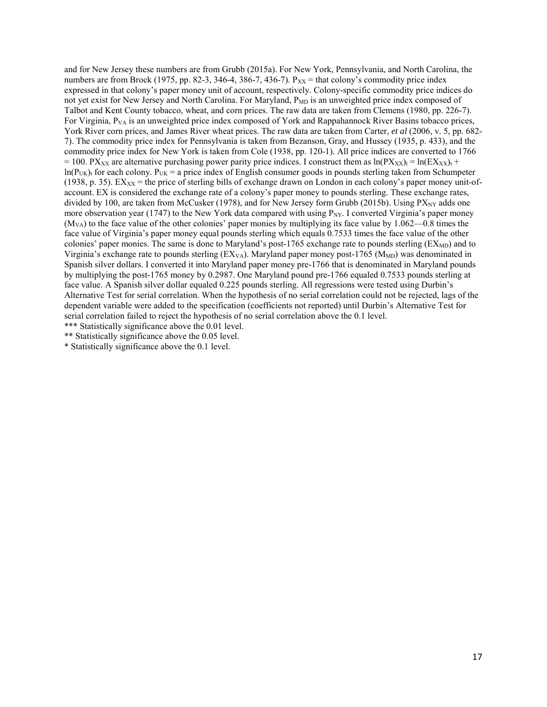and for New Jersey these numbers are from Grubb (2015a). For New York, Pennsylvania, and North Carolina, the numbers are from Brock (1975, pp. 82-3, 346-4, 386-7, 436-7).  $P_{XX}$  = that colony's commodity price index expressed in that colony's paper money unit of account, respectively. Colony-specific commodity price indices do not yet exist for New Jersey and North Carolina. For Maryland, P<sub>MD</sub> is an unweighted price index composed of Talbot and Kent County tobacco, wheat, and corn prices. The raw data are taken from Clemens (1980, pp. 226-7). For Virginia,  $P_{VA}$  is an unweighted price index composed of York and Rappahannock River Basins tobacco prices, York River corn prices, and James River wheat prices. The raw data are taken from Carter, *et al* (2006, v. 5, pp. 682- 7). The commodity price index for Pennsylvania is taken from Bezanson, Gray, and Hussey (1935, p. 433), and the commodity price index for New York is taken from Cole (1938, pp. 120-1). All price indices are converted to 1766 = 100. PX<sub>XX</sub> are alternative purchasing power parity price indices. I construct them as  $ln(PX_{XX})_t = ln(EX_{XX})_t +$  $ln(P_{UK})$ <sub>t</sub> for each colony. P<sub>UK</sub> = a price index of English consumer goods in pounds sterling taken from Schumpeter (1938, p. 35). EX<sub>XX</sub> = the price of sterling bills of exchange drawn on London in each colony's paper money unit-ofaccount. EX is considered the exchange rate of a colony's paper money to pounds sterling. These exchange rates, divided by 100, are taken from McCusker (1978), and for New Jersey form Grubb (2015b). Using  $PX_{\text{NV}}$  adds one more observation year (1747) to the New York data compared with using  $P_{\text{NY}}$ . I converted Virginia's paper money  $(M_{V_A})$  to the face value of the other colonies' paper monies by multiplying its face value by 1.062—0.8 times the face value of Virginia's paper money equal pounds sterling which equals 0.7533 times the face value of the other colonies' paper monies. The same is done to Maryland's post-1765 exchange rate to pounds sterling  $\rm (EX_{MD})$  and to Virginia's exchange rate to pounds sterling  $(EX<sub>VA</sub>)$ . Maryland paper money post-1765 ( $M<sub>MD</sub>$ ) was denominated in Spanish silver dollars. I converted it into Maryland paper money pre-1766 that is denominated in Maryland pounds by multiplying the post-1765 money by 0.2987. One Maryland pound pre-1766 equaled 0.7533 pounds sterling at face value. A Spanish silver dollar equaled 0.225 pounds sterling. All regressions were tested using Durbin's Alternative Test for serial correlation. When the hypothesis of no serial correlation could not be rejected, lags of the dependent variable were added to the specification (coefficients not reported) until Durbin's Alternative Test for serial correlation failed to reject the hypothesis of no serial correlation above the 0.1 level.

\*\*\* Statistically significance above the 0.01 level.

\*\* Statistically significance above the 0.05 level.

\* Statistically significance above the 0.1 level.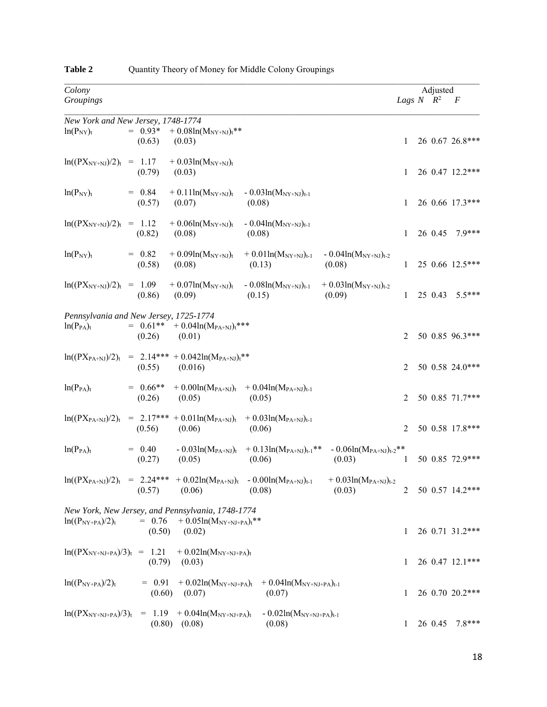| Colony                            |                                                                                                                                                                                  |              | Adjusted           |                 |
|-----------------------------------|----------------------------------------------------------------------------------------------------------------------------------------------------------------------------------|--------------|--------------------|-----------------|
| Groupings                         |                                                                                                                                                                                  |              | Lags $N$ $R^2$ $F$ |                 |
|                                   | New York and New Jersey, 1748-1774                                                                                                                                               |              |                    |                 |
| $ln(P_{NY})_t$                    | $= 0.93*$<br>$+0.08\ln(M_{NY+NJ})$ <sup>**</sup><br>(0.63)<br>(0.03)                                                                                                             | $\mathbf{1}$ |                    | 26 0.67 26.8*** |
|                                   | $ln((PX_{NY+NJ})/2)_t = 1.17 + 0.03ln(M_{NY+NJ})_t$<br>(0.79)<br>(0.03)                                                                                                          | 1            |                    | 26 0.47 12.2*** |
| $ln(P_{NY})_t$                    | $= 0.84$<br>+ $0.11 \text{ln}(M_{NY+NJ})_t$ - $0.03 \text{ln}(M_{NY+NJ})_{t-1}$<br>(0.57)<br>(0.08)<br>(0.07)                                                                    | 1            |                    | 26 0.66 17.3*** |
| $\ln((PX_{NY+NJ})/2)_t = 1.12$    | $+0.06\mathrm{ln}(M_{\mathrm{NY+NJ}})_{\mathrm{t}}$<br>$-0.04\ln(M_{\rm NY+NJ})_{t-1}$<br>(0.08)<br>(0.08)<br>(0.82)                                                             | $\mathbf{1}$ |                    | 26 0.45 7.9***  |
| $ln(P_{NY})_t$                    | $= 0.82$<br>$+ 0.09ln(M_{NY+NJ})_t$<br>$+ 0.01 \ln(M_{\rm NY+NJ})_{t-1}$<br>$-0.04\ln(M_{\text{NY+NJ}})_{t-2}$<br>(0.08)<br>(0.13)<br>(0.08)<br>(0.58)                           | 1            |                    | 25 0.66 12.5*** |
| $\ln((PX_{NY+NJ})/2)_t = 1.09$    | $+0.07\ln(M_{\text{NY+NJ}})_{t}$ - $0.08\ln(M_{\text{NY+NJ}})_{t-1}$<br>$+ 0.03 \ln(M_{NY+NJ})_{t-2}$<br>(0.09)<br>(0.86)<br>(0.15)<br>(0.09)                                    | $\mathbf{1}$ |                    | 25 0.43 5.5***  |
| $ln(P_{PA})_t$                    | Pennsylvania and New Jersey, 1725-1774<br>$= 0.61** + 0.04\ln(M_{PA+NJ})t***$<br>(0.26)<br>(0.01)                                                                                | 2            |                    | 50 0.85 96.3*** |
|                                   | $\ln((PX_{PA+NJ})/2)_t$ = 2.14*** + 0.042ln(M <sub>PA+NJ)t</sub> **<br>(0.55)<br>(0.016)                                                                                         | 2            |                    | 50 0.58 24.0*** |
| $ln(P_{PA})_t$                    | $= 0.66$ **<br>+ $0.00\ln(M_{PA+NJ})_t$ + $0.04\ln(M_{PA+NJ})_{t-1}$<br>(0.26)<br>(0.05)<br>(0.05)                                                                               | 2            |                    | 50 0.85 71.7*** |
| $ln((PX_{PA+NJ})/2)_t$            | $= 2.17*** + 0.01\ln(M_{PA+NJ})$ t + 0.031n(M <sub>PA+NJ)t-1</sub><br>(0.56)<br>(0.06)<br>(0.06)                                                                                 | 2            |                    | 50 0.58 17.8*** |
| $ln(P_{PA})_t$                    | $-0.03\ln(M_{PA+NJ})_t$ + 0.13ln(M <sub>PA+NJ)t-1</sub> **<br>$-0.06\ln(M_{PA+NJ})_{t-2}$ **<br>$= 0.40$<br>(0.27)<br>(0.05)<br>(0.06)<br>(0.03)                                 | 1            |                    | 50 0.85 72.9*** |
|                                   | $ln((PX_{PA+NJ})/2)_t$ = 2.24*** + 0.02ln(M <sub>PA+NJ)</sub> $t$ - 0.00ln(M <sub>PA+NJ)</sub> $_{t-1}$<br>$+ 0.03 \ln(M_{PA+NJ})_{t-2}$<br>(0.06)<br>(0.03)<br>(0.57)<br>(0.08) | 2            |                    | 50 0.57 14.2*** |
| $ln((P_{NY+PA})/2)_t$             | New York, New Jersey, and Pennsylvania, 1748-1774<br>$= 0.76 + 0.05\ln(M_{\text{NY+NJ+PA}})^{**}$<br>(0.50)<br>(0.02)                                                            | 1            |                    | 26 0.71 31.2*** |
| $\ln((PX_{NY+NJ+PA})/3)_t = 1.21$ | $+$ 0.02ln( $M_{\text{NY+NJ+PA}}$ ) <sub>t</sub><br>(0.79)<br>(0.03)                                                                                                             | 1            |                    | 26 0.47 12.1*** |
| $ln((P_{NY+PA})/2)_t$             | $= 0.91$<br>+ $0.02\ln(M_{NY+NJ+PA})_t$ + $0.04\ln(M_{NY+NJ+PA})_{t-1}$<br>(0.60)<br>(0.07)<br>(0.07)                                                                            | 1            |                    | 26 0.70 20.2*** |
| $\ln((PX_{NY+NJ+PA})/3)_t$        | $= 1.19 + 0.04 \ln(M_{NY+NJ+PA})_t$<br>$-0.02\ln(M_{NY+NJ+PA})_{t-1}$<br>(0.80)<br>(0.08)<br>(0.08)                                                                              | 1            | 26 0.45            | $7.8***$        |

# Table 2 Quantity Theory of Money for Middle Colony Groupings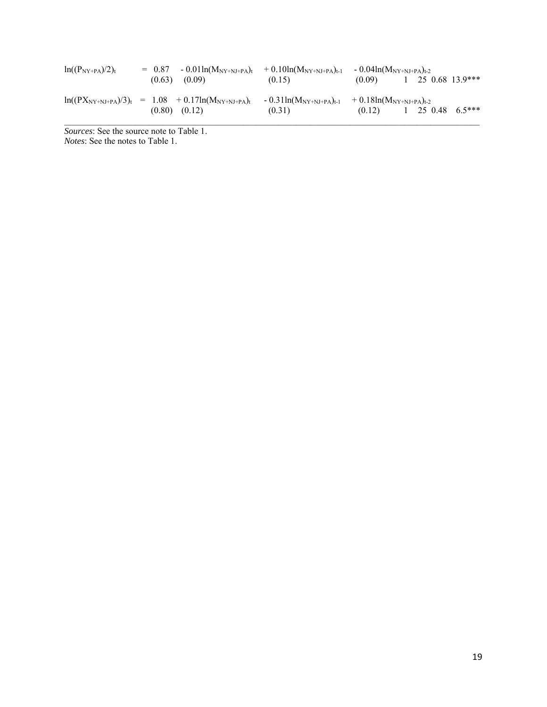| $ln((P_{NY+PA})/2)_t$ | $= 0.87$<br>(0.63) | $-0.01\ln(M_{\rm NY+NJ+PA})$ t<br>(0.09)                               | $+0.10\ln(M_{\rm NY+NJ+PA})_{\rm t\text{-}1}$<br>(0.15) | $-0.04\ln(M_{\text{NY+NJ+PA}})_{t-2}$<br>(0.09) | 25 0.68 13.9*** |         |
|-----------------------|--------------------|------------------------------------------------------------------------|---------------------------------------------------------|-------------------------------------------------|-----------------|---------|
|                       | (0.80)             | $\ln((PX_{NY+NJ+PA})/3)_t = 1.08 + 0.17 \ln(M_{NY+NJ+PA})_t$<br>(0.12) | $-0.31\ln(M_{\rm NY+NJ+PA})_{t-1}$<br>(0.31)            | $+0.18\ln(M_{\rm NY+NJ+PA})_{t-2}$<br>(0.12)    | 25 0.48         | $65***$ |

*Sources*: See the source note to Table 1. *Notes*: See the notes to Table 1.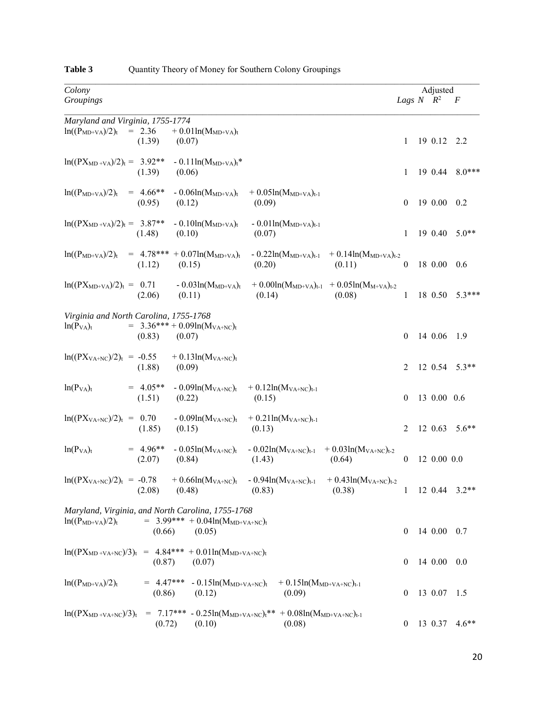| Colony                                                   |                       |                                                                                                      |                                                                                                          |                                                                    |                  | Adjusted           |                     |
|----------------------------------------------------------|-----------------------|------------------------------------------------------------------------------------------------------|----------------------------------------------------------------------------------------------------------|--------------------------------------------------------------------|------------------|--------------------|---------------------|
| Groupings                                                |                       |                                                                                                      |                                                                                                          |                                                                    |                  | Lags $N$ $R^2$ $F$ |                     |
| Maryland and Virginia, 1755-1774                         |                       |                                                                                                      |                                                                                                          |                                                                    |                  |                    |                     |
| $ln((P_{MD+VA})/2)_t$                                    | $= 2.36$<br>(1.39)    | $+ 0.01 \ln(M_{MD+VA})_t$<br>(0.07)                                                                  |                                                                                                          |                                                                    | 1                | 19 0.12 2.2        |                     |
| $\ln((PX_{MD+VA})/2)_t = 3.92**$                         | (1.39)                | $-0.11\ln(M_{MD+VA})$ t <sup>*</sup><br>(0.06)                                                       |                                                                                                          |                                                                    | 1                | 19 0.44            | $8.0***$            |
| $\ln((P_{MD+VA})/2)_t = 4.66**$                          | (0.95)                | - $0.06ln(M_{MD+VA})_t$<br>(0.12)                                                                    | $+ 0.05ln(M_{MD+VA})_{t-1}$<br>(0.09)                                                                    |                                                                    | $\overline{0}$   | 190.0000.2         |                     |
| $\ln((PX_{MD+VA})/2)_t = 3.87**$                         | $(1.48)$ $(0.10)$     | $-0.10\ln(M_{MD+VA})_t$                                                                              | $-0.01\ln(M_{MD+VA})_{t-1}$<br>(0.07)                                                                    |                                                                    | 1                | 19 0.40            | $5.0**$             |
| $ln((P_{MD+VA})/2)_t$                                    | (1.12)                | $= 4.78*** + 0.07ln(MMD+VA)t$<br>(0.15)                                                              | (0.20)                                                                                                   | $-0.22\ln(M_{MD+VA})_{t-1}$ $+0.14\ln(M_{MD+VA})_{t-2}$<br>(0.11)  | $\theta$         | 18 0.00            | 0.6                 |
| $\ln((PX_{MD+VA})/2)_t = 0.71$                           | (2.06)                | $-0.03\ln(M_{MD+VA})_t$<br>(0.11)                                                                    | (0.14)                                                                                                   | + $0.00\ln(M_{MD+VA})_{t-1}$ + $0.05\ln(M_{M+VA})_{t-2}$<br>(0.08) | $\mathbf{1}$     | 18 0.50            | $5.3***$            |
| Virginia and North Carolina, 1755-1768<br>$ln(P_{VA})_t$ | (0.83)                | $= 3.36*** + 0.09ln(MVA+NC)t$<br>(0.07)                                                              |                                                                                                          |                                                                    | $\mathbf{0}$     | 14 0.06 1.9        |                     |
| $\ln((PXVA+NC)/2)t = -0.55 + 0.13\ln(MVA+NC)t$           | (1.88)                | (0.09)                                                                                               |                                                                                                          |                                                                    | 2                |                    | $12 \t0.54 \t5.3**$ |
| $ln(P_{VA})_t$                                           | $= 4.05**$<br>(1.51)  | (0.22)                                                                                               | $-0.09\ln(M_{VA+NC})$ <sub>t</sub> $+0.12\ln(M_{VA+NC})$ <sub>t-1</sub><br>(0.15)                        |                                                                    | $\bf{0}$         | 13 0.00 0.6        |                     |
| $\ln((PXVA+NC)/2)t = 0.70$                               | (1.85)                | (0.15)                                                                                               | $-0.09\ln(M_{VA+NC})$ <sub>t</sub> $+0.21\ln(M_{VA+NC})$ <sub>t-1</sub><br>(0.13)                        |                                                                    | 2                |                    | 12 0.63 5.6**       |
| $ln(P_{VA})_t$                                           | $= 4.96**$<br>(2.07)  | $-0.05\ln(M_{VA+NC})_t$<br>(0.84)                                                                    | $-0.02\ln(M_{VA+NC})_{t-1}$ $+0.03\ln(M_{VA+NC})_{t-2}$<br>(1.43)                                        | (0.64)                                                             | $\mathbf{0}$     | 12 0.00 0.0        |                     |
| $ln((PXVA+NC)/2)t = -0.78 + 0.66ln(MVA+NC)t$             | (2.08)                | (0.48)                                                                                               | $-0.94\ln(M_{VA+NC})_{t-1}$<br>(0.83)                                                                    | $+ 0.43 \ln(M_{VA+NC})_{t-2}$<br>(0.38)                            | 1                |                    | $12 \t0.44 \t3.2**$ |
| $ln((P_{MD+VA})/2)_t$                                    | (0.66)                | Maryland, Virginia, and North Carolina, 1755-1768<br>$= 3.99*** + 0.04\ln(M_{MD+VA+NC})$ t<br>(0.05) |                                                                                                          |                                                                    | $\overline{0}$   | 14 0.00            | 0.7                 |
|                                                          | (0.87)                | $\ln((PX_{MD+VA+NC})/3)_t = 4.84*** + 0.01\ln(M_{MD+VA+NC})_t$<br>(0.07)                             |                                                                                                          |                                                                    | $\bf{0}$         | 14 0.00            | 0.0                 |
| $ln((P_{MD+VA})/2)_t$                                    | $= 4.47***$<br>(0.86) | - $0.15ln(M_{MD+VA+NC})_t$<br>(0.12)                                                                 | $+ 0.15ln(MMD+VA+NC)t-1$<br>(0.09)                                                                       |                                                                    | $\bf{0}$         | 13 0.07            | 1.5                 |
| $\ln((PX_{MD+VA+NC})/3)_t$                               | (0.72)                | (0.10)                                                                                               | = 7.17*** - 0.25ln( $M_{MD+VA+NC}$ ) <sub>t</sub> ** + 0.08ln( $M_{MD+VA+NC}$ ) <sub>t-1</sub><br>(0.08) |                                                                    | $\boldsymbol{0}$ | 13 0.37            | $4.6**$             |

# Table 3 Quantity Theory of Money for Southern Colony Groupings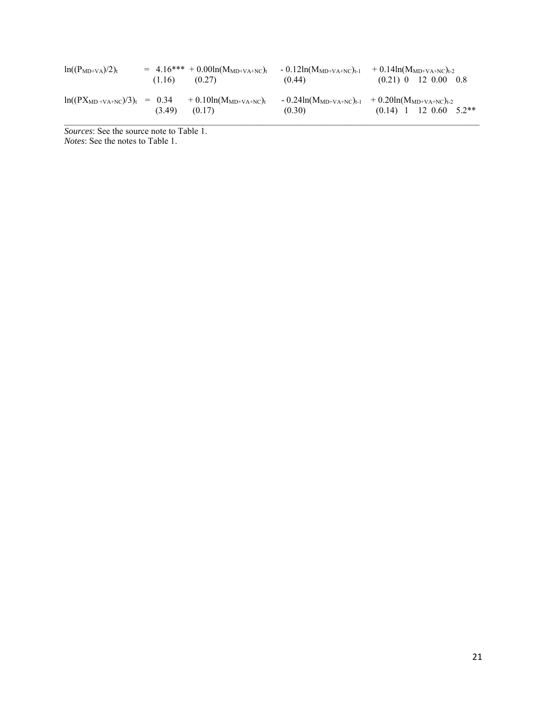| $ln((P_{MD+VA})/2)_t$             | (1.16) | $= 4.16*** + 0.00\ln(M_{MD+VA+NC})$<br>(0.27) | $-0.12\ln(M_{MD+VA+NC})_{t-1}$<br>(0.44) |                                                                | $+0.14\text{ln}(M_{MD+VA+NC})_{t-2}$<br>$(0.21)$ 0 12 0.00 0.8 |
|-----------------------------------|--------|-----------------------------------------------|------------------------------------------|----------------------------------------------------------------|----------------------------------------------------------------|
| $\ln((PX_{MD+VA+NC})/3)_t = 0.34$ | (3.49) | $+0.10\ln(M_{MD+VA+NC})$ t<br>(0.17)          | (0.30)                                   | $-0.24\ln(M_{MD+VA+NC})_{t-1}$ $+ 0.20\ln(M_{MD+VA+NC})_{t-2}$ | 5.2**<br>$(0.14)$ 1 12 0.60                                    |

*Sources*: See the source note to Table 1. *Notes*: See the notes to Table 1.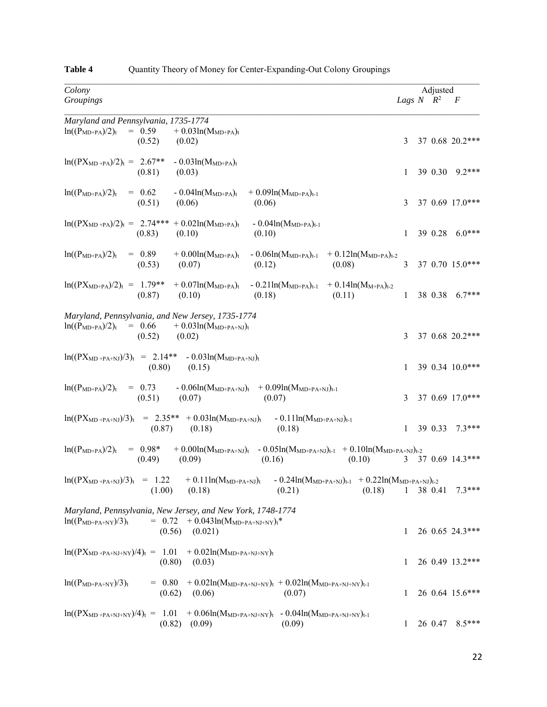| Colony                                                                                                                                                                                   |                    | Adjusted |                   |
|------------------------------------------------------------------------------------------------------------------------------------------------------------------------------------------|--------------------|----------|-------------------|
| Groupings                                                                                                                                                                                | Lags $N$ $R^2$ $F$ |          |                   |
| Maryland and Pennsylvania, 1735-1774                                                                                                                                                     |                    |          |                   |
| $= 0.59$<br>$+$ 0.03ln( $M_{MD+PA}$ )t<br>$ln((P_{MD+PA})/2)_t$<br>(0.52)<br>(0.02)                                                                                                      | 3                  |          | 37 0.68 20.2***   |
| $\ln((PX_{MD+PA})/2)_t = 2.67**$<br>$-0.03\ln(M_{MD+PA})$ t<br>(0.81)<br>(0.03)                                                                                                          | 1                  |          | 39 0.30 9.2***    |
| $= 0.62$<br>- $0.04\text{ln}(M_{MD+PA})_t$<br>$ln((P_{MD+PA})/2)_t$<br>$+ 0.09ln(M_{MD+PA})_{t-1}$<br>(0.51)<br>(0.06)<br>(0.06)                                                         | 3                  |          | 37 0.69 17.0***   |
| $ln((PX_{MD+PA})/2)_t = 2.74*** + 0.02ln(M_{MD+PA})_t$<br>$-0.04\ln(M_{MD+PA})_{t-1}$<br>(0.83)<br>(0.10)<br>(0.10)                                                                      | $\mathbf{1}$       |          | 39 0.28 6.0***    |
| $= 0.89$<br>$+0.00ln(MMD+PA)t$<br>$ln((P_{MD+PA})/2)_t$<br>$-0.06\ln(M_{MD+PA})_{t-1}$ $+0.12\ln(M_{MD+PA})_{t-2}$<br>(0.07)<br>(0.08)<br>(0.53)<br>(0.12)                               | 3                  |          | 37 0.70 15.0***   |
| $\ln((PX_{MD+PA})/2)_t = 1.79** + 0.07ln(M_{MD+PA})_t$<br>$-0.21\ln(M_{MD+PA})_{t-1}$ $+0.14\ln(M_{M+PA})_{t-2}$<br>(0.87)<br>(0.10)<br>(0.18)<br>(0.11)                                 | $\mathbf{1}$       |          | 38 0.38 6.7***    |
| Maryland, Pennsylvania, and New Jersey, 1735-1774<br>$\ln((P_{MD+PA})/2)_t = 0.66$<br>$+$ 0.03ln(M <sub>MD+PA+NJ)t</sub><br>(0.52)<br>(0.02)                                             | 3                  |          | 37 0.68 20.2***   |
| $\ln((PX_{MD+PA+NJ})/3)_t = 2.14** - 0.03ln(M_{MD+PA+NJ})_t$<br>(0.80)<br>(0.15)                                                                                                         | $\mathbf{1}$       |          | 39 0.34 10.0***   |
| $\ln((P_{MD+PA})/2)_t = 0.73$<br>$-0.06\ln(M_{MD+PA+NJ})$ t $+0.09\ln(M_{MD+PA+NJ})$ t-1<br>(0.51)<br>(0.07)<br>(0.07)                                                                   | 3                  |          | 37 0.69 17.0***   |
| $\ln((PX_{MD+PA+NJ})/3)_t$ = 2.35** + 0.03 $\ln(M_{MD+PA+NJ})_t$<br>$-0.11\ln(M_{MD+PA+NJ})_{t-1}$<br>(0.87)<br>(0.18)<br>(0.18)                                                         | $\mathbf{1}$       |          | 39 0.33 7.3***    |
| $= 0.98*$<br>$+ 0.00ln(M_{MD+PA+NJ})_{t} - 0.05ln(M_{MD+PA+NJ})_{t\text{-}1} + 0.10ln(M_{MD+PA+NJ})_{t\text{-}2}$<br>$ln((P_{MD+PA})/2)_t$<br>(0.49)<br>(0.09)<br>(0.16)<br>(0.10)       |                    |          | 3 37 0.69 14.3*** |
| $\ln((PX_{MD+PA+NJ})/3)_t = 1.22$<br>$+0.11\ln(M_{MD+PA+NJ})$ t<br>$-0.24\ln(M_{MD+PA+NJ})_{t-1}$ + 0.22ln(M <sub>MD+PA+NJ)</sub> <sub>t-2</sub><br>(1.00)<br>(0.18)<br>(0.21)<br>(0.18) | $\mathbf{1}$       | 38 0.41  | $7.3***$          |
| Maryland, Pennsylvania, New Jersey, and New York, 1748-1774<br>$= 0.72 + 0.043 \ln(M_{MD+PA+NJ+NY})t^*$<br>$ln((PMD+PA+NY)/3)t$<br>$(0.56)$ $(0.021)$                                    | 1                  |          | 26 0.65 24.3***   |
| $ln((PX_{MD+PA+NJ+NY})/4)_t = 1.01 + 0.02ln(M_{MD+PA+NJ+NY})_t$<br>$(0.80)$ $(0.03)$                                                                                                     | 1                  |          | 26 0.49 13.2***   |
| $ln((PMD+PA+NY)/3)t$<br>$= 0.80$<br>+ $0.02\ln(M_{MD+PA+NJ+NY})_t$ + $0.02\ln(M_{MD+PA+NJ+NY})_{t-1}$<br>(0.62)<br>(0.06)<br>(0.07)                                                      | 1                  |          | 26 0.64 15.6***   |
| $ln((PXMD+PA+NJ+NY)/4)t = 1.01 + 0.06ln(MMD+PA+NJ+NY)t - 0.04ln(MMD+PA+NJ+NY)t-1$<br>$(0.82)$ $(0.09)$<br>(0.09)                                                                         | 1                  | 26 0.47  | $8.5***$          |

# **Table 4** Quantity Theory of Money for Center-Expanding-Out Colony Groupings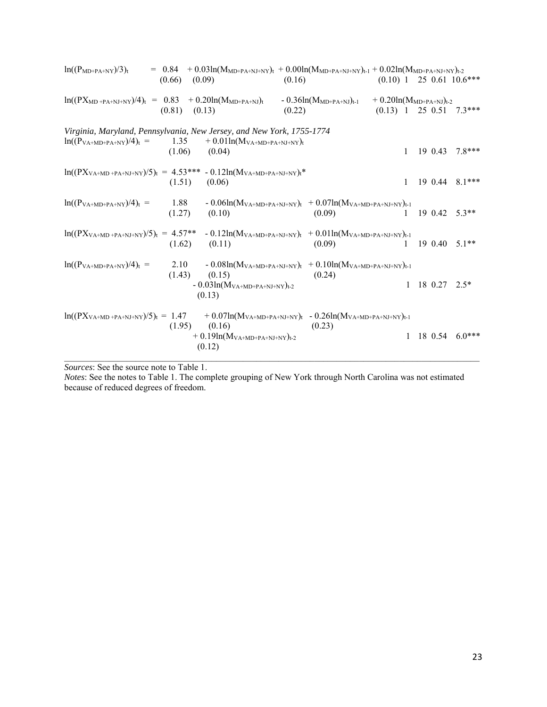| $\ln((P_{MD+PA+NY})/3)_t$                                                                               | $(0.66)$ $(0.09)$ | $= 0.84 + 0.03\ln(M_{MD+PA+NJ+NY})_t + 0.00\ln(M_{MD+PA+NJ+NY})_{t-1} + 0.02\ln(M_{MD+PA+NJ+NY})_{t-2}$                                                  | (0.16) |                                |                                  |              |         | $(0.10)$ 1 25 0.61 10.6*** |
|---------------------------------------------------------------------------------------------------------|-------------------|----------------------------------------------------------------------------------------------------------------------------------------------------------|--------|--------------------------------|----------------------------------|--------------|---------|----------------------------|
| $\ln((PX_{MD+PA+NJ+NY})/4)_t = 0.83 + 0.20 \ln(M_{MD+PA+NJ})_t$                                         | $(0.81)$ $(0.13)$ |                                                                                                                                                          | (0.22) | $-0.36\ln(M_{MD+PA+NJ})_{t-1}$ | $+ 0.20 \ln(M_{MD+PA+NJ})_{t-2}$ |              |         | $(0.13)$ 1 25 0.51 7.3***  |
| Virginia, Maryland, Pennsylvania, New Jersey, and New York, 1755-1774<br>$\ln((P_{VA+MD+PA+NY})/4)_t =$ | $(1.06)$ $(0.04)$ | 1.35 $+0.01\ln(M_{VA+MD+PA+NJ+NY})$ t                                                                                                                    |        |                                |                                  | $\mathbf{1}$ | 19 0.43 | $7.8***$                   |
| $\ln((PX_{VA+MD+PA+NJ+NY})/5)_t = 4.53*** - 0.12 \ln(M_{VA+MD+PA+NJ+NY})_t*$                            | $(1.51)$ $(0.06)$ |                                                                                                                                                          |        |                                |                                  | 1            |         | 19 0.44 8.1***             |
| $\ln((P_{VA+MD+PA+NY})/4)_t =$                                                                          | $(1.27)$ $(0.10)$ | 1.88 - 0.06ln( $M_{VA+MD+PA+NJ+NY}$ ) <sub>t</sub> + 0.07ln( $M_{VA+MD+PA+NJ+NY}$ ) <sub>t-1</sub>                                                       |        | (0.09)                         |                                  | $\mathbf{1}$ |         | 19 0.42 5.3**              |
| $ln((PXVA+MD+PA+NJ+NY)/5)t = 4.57** -0.12ln(MVA+MD+PA+NJ+NY)t + 0.01ln(MVA+MD+PA+NJ+NY)t-1$             | (1.62)            | (0.11)                                                                                                                                                   |        | (0.09)                         |                                  | $\mathbf{1}$ |         | $190.405.1**$              |
| $\ln((P_{VA+MD+PA+NY})/4)_t =$                                                                          | (1.43)            | 2.10 - $0.08\ln(M_{VA+MD+PA+NJ+NY})_t$ + $0.10\ln(M_{VA+MD+PA+NJ+NY})_{t-1}$<br>(0.15)<br>- $0.03ln(M_{\mathrm{VA}+MD+PA+NJ+NY})_{t\text{-}2}$<br>(0.13) |        | (0.24)                         |                                  |              |         | $1 \t18 \t0.27 \t2.5*$     |
| $ln((PXVA+MD+PA+NJ+NY)/5)t = 1.47 + 0.07ln(MVA+MD+PA+NJ+NY)t - 0.26ln(MVA+MD+PA+NJ+NY)t-1$              | (1.95)            | (0.16)<br>$~~+0.19ln(M_{\rm VA+MD+PA+NJ+NY})_{t\text{-}2}$<br>(0.12)                                                                                     |        | (0.23)                         |                                  |              |         | $1 \t18 \t0.54 \t6.0***$   |

*Sources*: See the source note to Table 1.

*Notes*: See the notes to Table 1. The complete grouping of New York through North Carolina was not estimated because of reduced degrees of freedom.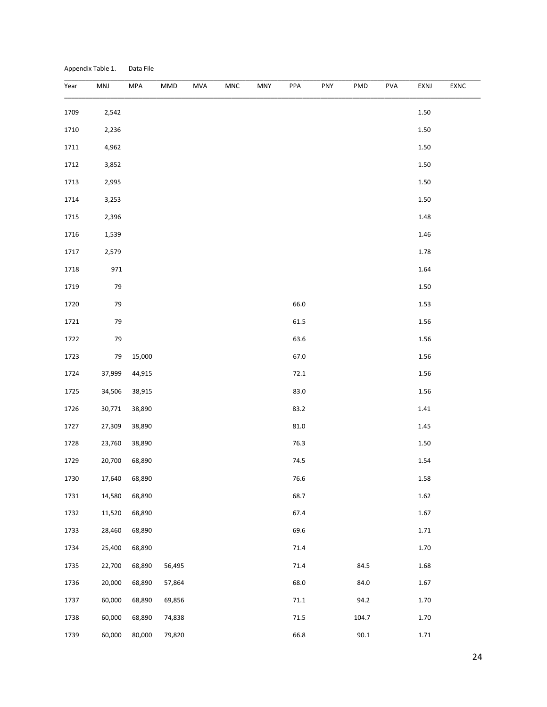| Appendix Table 1. |  |  | Data File |  |
|-------------------|--|--|-----------|--|
|-------------------|--|--|-----------|--|

| Year | MNJ    | MPA    | MMD    | <b>MVA</b> | MNC | MNY | PPA      | PNY | <b>PMD</b> | <b>PVA</b> | EXNJ     | EXNC |
|------|--------|--------|--------|------------|-----|-----|----------|-----|------------|------------|----------|------|
|      |        |        |        |            |     |     |          |     |            |            |          |      |
| 1709 | 2,542  |        |        |            |     |     |          |     |            |            | 1.50     |      |
| 1710 | 2,236  |        |        |            |     |     |          |     |            |            | $1.50\,$ |      |
| 1711 | 4,962  |        |        |            |     |     |          |     |            |            | 1.50     |      |
| 1712 | 3,852  |        |        |            |     |     |          |     |            |            | $1.50\,$ |      |
| 1713 | 2,995  |        |        |            |     |     |          |     |            |            | 1.50     |      |
| 1714 | 3,253  |        |        |            |     |     |          |     |            |            | 1.50     |      |
| 1715 | 2,396  |        |        |            |     |     |          |     |            |            | 1.48     |      |
| 1716 | 1,539  |        |        |            |     |     |          |     |            |            | 1.46     |      |
| 1717 | 2,579  |        |        |            |     |     |          |     |            |            | 1.78     |      |
| 1718 | 971    |        |        |            |     |     |          |     |            |            | 1.64     |      |
| 1719 | 79     |        |        |            |     |     |          |     |            |            | 1.50     |      |
| 1720 | 79     |        |        |            |     |     | 66.0     |     |            |            | 1.53     |      |
| 1721 | 79     |        |        |            |     |     | 61.5     |     |            |            | 1.56     |      |
| 1722 | 79     |        |        |            |     |     | 63.6     |     |            |            | 1.56     |      |
| 1723 | 79     | 15,000 |        |            |     |     | 67.0     |     |            |            | 1.56     |      |
| 1724 | 37,999 | 44,915 |        |            |     |     | 72.1     |     |            |            | 1.56     |      |
| 1725 | 34,506 | 38,915 |        |            |     |     | 83.0     |     |            |            | 1.56     |      |
| 1726 | 30,771 | 38,890 |        |            |     |     | 83.2     |     |            |            | 1.41     |      |
| 1727 | 27,309 | 38,890 |        |            |     |     | $81.0\,$ |     |            |            | 1.45     |      |
| 1728 | 23,760 | 38,890 |        |            |     |     | 76.3     |     |            |            | $1.50\,$ |      |
| 1729 | 20,700 | 68,890 |        |            |     |     | 74.5     |     |            |            | 1.54     |      |
| 1730 | 17,640 | 68,890 |        |            |     |     | 76.6     |     |            |            | 1.58     |      |
| 1731 | 14,580 | 68,890 |        |            |     |     | 68.7     |     |            |            | 1.62     |      |
| 1732 | 11,520 | 68,890 |        |            |     |     | 67.4     |     |            |            | 1.67     |      |
| 1733 | 28,460 | 68,890 |        |            |     |     | 69.6     |     |            |            | 1.71     |      |
| 1734 | 25,400 | 68,890 |        |            |     |     | 71.4     |     |            |            | 1.70     |      |
| 1735 | 22,700 | 68,890 | 56,495 |            |     |     | 71.4     |     | 84.5       |            | 1.68     |      |
|      |        |        |        |            |     |     |          |     |            |            |          |      |
| 1736 | 20,000 | 68,890 | 57,864 |            |     |     | 68.0     |     | 84.0       |            | 1.67     |      |
| 1737 | 60,000 | 68,890 | 69,856 |            |     |     | $71.1\,$ |     | 94.2       |            | 1.70     |      |
| 1738 | 60,000 | 68,890 | 74,838 |            |     |     | $71.5\,$ |     | 104.7      |            | 1.70     |      |
| 1739 | 60,000 | 80,000 | 79,820 |            |     |     | 66.8     |     | 90.1       |            | 1.71     |      |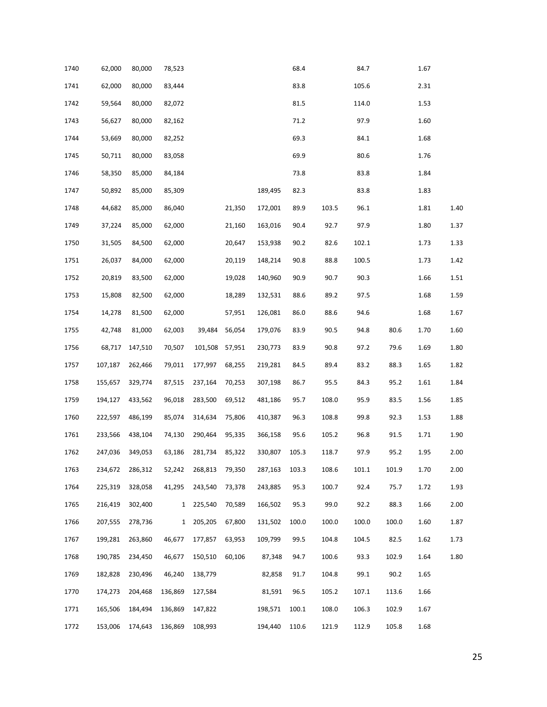| 1740 | 62,000  | 80,000  | 78,523       |         |        |         | 68.4  |       | 84.7  |       | 1.67 |      |
|------|---------|---------|--------------|---------|--------|---------|-------|-------|-------|-------|------|------|
| 1741 | 62,000  | 80,000  | 83,444       |         |        |         | 83.8  |       | 105.6 |       | 2.31 |      |
| 1742 | 59,564  | 80,000  | 82,072       |         |        |         | 81.5  |       | 114.0 |       | 1.53 |      |
| 1743 | 56,627  | 80,000  | 82,162       |         |        |         | 71.2  |       | 97.9  |       | 1.60 |      |
| 1744 | 53,669  | 80,000  | 82,252       |         |        |         | 69.3  |       | 84.1  |       | 1.68 |      |
| 1745 | 50,711  | 80,000  | 83,058       |         |        |         | 69.9  |       | 80.6  |       | 1.76 |      |
| 1746 | 58,350  | 85,000  | 84,184       |         |        |         | 73.8  |       | 83.8  |       | 1.84 |      |
| 1747 | 50,892  | 85,000  | 85,309       |         |        | 189,495 | 82.3  |       | 83.8  |       | 1.83 |      |
| 1748 | 44,682  | 85,000  | 86,040       |         | 21,350 | 172,001 | 89.9  | 103.5 | 96.1  |       | 1.81 | 1.40 |
| 1749 | 37,224  | 85,000  | 62,000       |         | 21,160 | 163,016 | 90.4  | 92.7  | 97.9  |       | 1.80 | 1.37 |
| 1750 | 31,505  | 84,500  | 62,000       |         | 20,647 | 153,938 | 90.2  | 82.6  | 102.1 |       | 1.73 | 1.33 |
| 1751 | 26,037  | 84,000  | 62,000       |         | 20,119 | 148,214 | 90.8  | 88.8  | 100.5 |       | 1.73 | 1.42 |
| 1752 | 20,819  | 83,500  | 62,000       |         | 19,028 | 140,960 | 90.9  | 90.7  | 90.3  |       | 1.66 | 1.51 |
| 1753 | 15,808  | 82,500  | 62,000       |         | 18,289 | 132,531 | 88.6  | 89.2  | 97.5  |       | 1.68 | 1.59 |
| 1754 | 14,278  | 81,500  | 62,000       |         | 57,951 | 126,081 | 86.0  | 88.6  | 94.6  |       | 1.68 | 1.67 |
| 1755 | 42,748  | 81,000  | 62,003       | 39,484  | 56,054 | 179,076 | 83.9  | 90.5  | 94.8  | 80.6  | 1.70 | 1.60 |
| 1756 | 68,717  | 147,510 | 70,507       | 101,508 | 57,951 | 230,773 | 83.9  | 90.8  | 97.2  | 79.6  | 1.69 | 1.80 |
| 1757 | 107,187 | 262,466 | 79,011       | 177,997 | 68,255 | 219,281 | 84.5  | 89.4  | 83.2  | 88.3  | 1.65 | 1.82 |
| 1758 | 155,657 | 329,774 | 87,515       | 237,164 | 70,253 | 307,198 | 86.7  | 95.5  | 84.3  | 95.2  | 1.61 | 1.84 |
| 1759 | 194,127 | 433,562 | 96,018       | 283,500 | 69,512 | 481,186 | 95.7  | 108.0 | 95.9  | 83.5  | 1.56 | 1.85 |
| 1760 | 222,597 | 486,199 | 85,074       | 314,634 | 75,806 | 410,387 | 96.3  | 108.8 | 99.8  | 92.3  | 1.53 | 1.88 |
| 1761 | 233,566 | 438,104 | 74,130       | 290,464 | 95,335 | 366,158 | 95.6  | 105.2 | 96.8  | 91.5  | 1.71 | 1.90 |
| 1762 | 247,036 | 349,053 | 63,186       | 281,734 | 85,322 | 330,807 | 105.3 | 118.7 | 97.9  | 95.2  | 1.95 | 2.00 |
| 1763 | 234,672 | 286,312 | 52,242       | 268,813 | 79,350 | 287,163 | 103.3 | 108.6 | 101.1 | 101.9 | 1.70 | 2.00 |
| 1764 | 225,319 | 328,058 | 41,295       | 243,540 | 73,378 | 243,885 | 95.3  | 100.7 | 92.4  | 75.7  | 1.72 | 1.93 |
| 1765 | 216,419 | 302,400 | $\mathbf{1}$ | 225,540 | 70,589 | 166,502 | 95.3  | 99.0  | 92.2  | 88.3  | 1.66 | 2.00 |
| 1766 | 207,555 | 278,736 | $\mathbf{1}$ | 205,205 | 67,800 | 131,502 | 100.0 | 100.0 | 100.0 | 100.0 | 1.60 | 1.87 |
| 1767 | 199,281 | 263,860 | 46,677       | 177,857 | 63,953 | 109,799 | 99.5  | 104.8 | 104.5 | 82.5  | 1.62 | 1.73 |
| 1768 | 190,785 | 234,450 | 46,677       | 150,510 | 60,106 | 87,348  | 94.7  | 100.6 | 93.3  | 102.9 | 1.64 | 1.80 |
| 1769 | 182,828 | 230,496 | 46,240       | 138,779 |        | 82,858  | 91.7  | 104.8 | 99.1  | 90.2  | 1.65 |      |
| 1770 | 174,273 | 204,468 | 136,869      | 127,584 |        | 81,591  | 96.5  | 105.2 | 107.1 | 113.6 | 1.66 |      |
| 1771 | 165,506 | 184,494 | 136,869      | 147,822 |        | 198,571 | 100.1 | 108.0 | 106.3 | 102.9 | 1.67 |      |
| 1772 | 153,006 | 174,643 | 136,869      | 108,993 |        | 194,440 | 110.6 | 121.9 | 112.9 | 105.8 | 1.68 |      |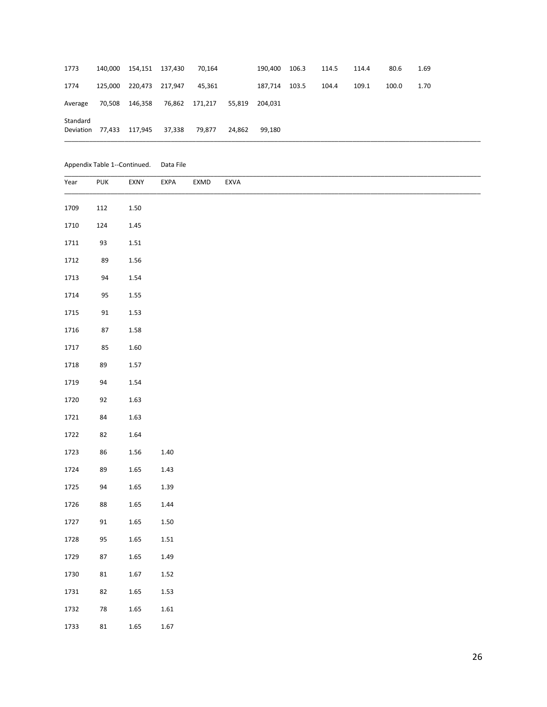| Standard | Deviation 77,433 | 117,945                 | 37,338 | 79.877  | 24.862 | 99.180  |       |       |       |       |      |
|----------|------------------|-------------------------|--------|---------|--------|---------|-------|-------|-------|-------|------|
| Average  | 70,508           | 146,358                 | 76,862 | 171,217 | 55.819 | 204.031 |       |       |       |       |      |
| 1774     |                  | 125,000 220,473 217,947 |        | 45,361  |        | 187,714 | 103.5 | 104.4 | 109.1 | 100.0 | 1.70 |
| 1773     |                  | 140,000 154,151 137,430 |        | 70,164  |        | 190,400 | 106.3 | 114.5 | 114.4 | 80.6  | 1.69 |

Appendix Table 1--Continued. Data File

| Year | PUK           | EXNY     | EXPA     | EXMD | EXVA |
|------|---------------|----------|----------|------|------|
| 1709 | 112           | $1.50\,$ |          |      |      |
| 1710 | 124           | 1.45     |          |      |      |
| 1711 | 93            | $1.51\,$ |          |      |      |
| 1712 | 89            | $1.56\,$ |          |      |      |
| 1713 | 94            | 1.54     |          |      |      |
| 1714 | 95            | $1.55\,$ |          |      |      |
| 1715 | $\mathsf{91}$ | 1.53     |          |      |      |
| 1716 | $87\,$        | 1.58     |          |      |      |
| 1717 | 85            | $1.60\,$ |          |      |      |
| 1718 | 89            | $1.57\,$ |          |      |      |
| 1719 | 94            | 1.54     |          |      |      |
| 1720 | 92            | 1.63     |          |      |      |
| 1721 | 84            | 1.63     |          |      |      |
| 1722 | 82            | 1.64     |          |      |      |
| 1723 | 86            | 1.56     | 1.40     |      |      |
| 1724 | 89            | $1.65\,$ | 1.43     |      |      |
| 1725 | 94            | $1.65\,$ | $1.39\,$ |      |      |
| 1726 | 88            | $1.65\,$ | 1.44     |      |      |
| 1727 | 91            | $1.65\,$ | $1.50\,$ |      |      |
| 1728 | 95            | $1.65\,$ | $1.51\,$ |      |      |
| 1729 | 87            | $1.65\,$ | 1.49     |      |      |
| 1730 | 81            | 1.67     | $1.52\,$ |      |      |
| 1731 | 82            | 1.65     | $1.53\,$ |      |      |
| 1732 | ${\bf 78}$    | $1.65\,$ | $1.61\,$ |      |      |
| 1733 | 81            | 1.65     | 1.67     |      |      |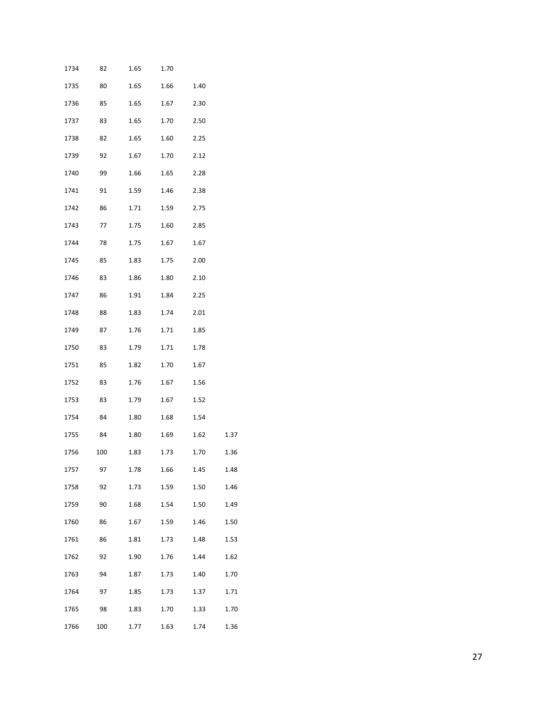| 1734 | 82  | 1.65 | 1.70 |      |      |
|------|-----|------|------|------|------|
| 1735 | 80  | 1.65 | 1.66 | 1.40 |      |
| 1736 | 85  | 1.65 | 1.67 | 2.30 |      |
| 1737 | 83  | 1.65 | 1.70 | 2.50 |      |
| 1738 | 82  | 1.65 | 1.60 | 2.25 |      |
| 1739 | 92  | 1.67 | 1.70 | 2.12 |      |
| 1740 | 99  | 1.66 | 1.65 | 2.28 |      |
| 1741 | 91  | 1.59 | 1.46 | 2.38 |      |
| 1742 | 86  | 1.71 | 1.59 | 2.75 |      |
| 1743 | 77  | 1.75 | 1.60 | 2.85 |      |
| 1744 | 78  | 1.75 | 1.67 | 1.67 |      |
| 1745 | 85  | 1.83 | 1.75 | 2.00 |      |
| 1746 | 83  | 1.86 | 1.80 | 2.10 |      |
| 1747 | 86  | 1.91 | 1.84 | 2.25 |      |
| 1748 | 88  | 1.83 | 1.74 | 2.01 |      |
| 1749 | 87  | 1.76 | 1.71 | 1.85 |      |
| 1750 | 83  | 1.79 | 1.71 | 1.78 |      |
| 1751 | 85  | 1.82 | 1.70 | 1.67 |      |
| 1752 | 83  | 1.76 | 1.67 | 1.56 |      |
| 1753 | 83  | 1.79 | 1.67 | 1.52 |      |
| 1754 | 84  | 1.80 | 1.68 | 1.54 |      |
| 1755 | 84  | 1.80 | 1.69 | 1.62 | 1.37 |
| 1756 | 100 | 1.83 | 1.73 | 1.70 | 1.36 |
| 1757 | 97  | 1.78 | 1.66 | 1.45 | 1.48 |
| 1758 | 92  | 1.73 | 1.59 | 1.50 | 1.46 |
| 1759 | 90  | 1.68 | 1.54 | 1.50 | 1.49 |
| 1760 | 86  | 1.67 | 1.59 | 1.46 | 1.50 |
| 1761 | 86  | 1.81 | 1.73 | 1.48 | 1.53 |
| 1762 | 92  | 1.90 | 1.76 | 1.44 | 1.62 |
| 1763 | 94  | 1.87 | 1.73 | 1.40 | 1.70 |
| 1764 | 97  | 1.85 | 1.73 | 1.37 | 1.71 |
| 1765 | 98  | 1.83 | 1.70 | 1.33 | 1.70 |
| 1766 | 100 | 1.77 | 1.63 | 1.74 | 1.36 |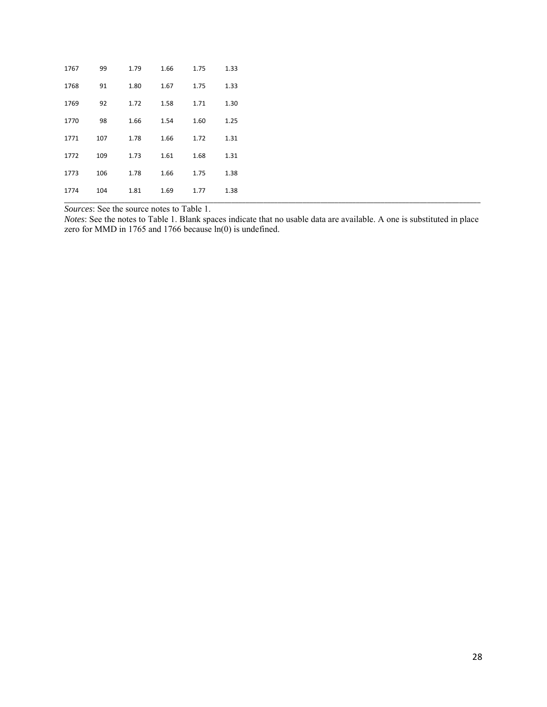| 1767 | 99  | 1.79 | 1.66 | 1.75 | 1.33 |
|------|-----|------|------|------|------|
| 1768 | 91  | 1.80 | 1.67 | 1.75 | 1.33 |
| 1769 | 92  | 1.72 | 1.58 | 1.71 | 1.30 |
| 1770 | 98  | 1.66 | 1.54 | 1.60 | 1.25 |
| 1771 | 107 | 1.78 | 1.66 | 1.72 | 1.31 |
| 1772 | 109 | 1.73 | 1.61 | 1.68 | 1.31 |
| 1773 | 106 | 1.78 | 1.66 | 1.75 | 1.38 |
| 1774 | 104 | 1.81 | 1.69 | 1.77 | 1.38 |

*Sources*: See the source notes to Table 1.

*Notes*: See the notes to Table 1. Blank spaces indicate that no usable data are available. A one is substituted in place zero for MMD in 1765 and 1766 because ln(0) is undefined.